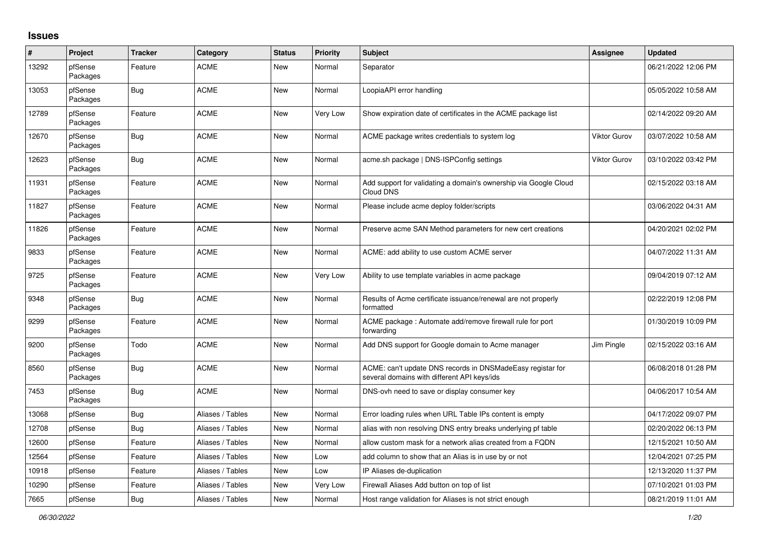## **Issues**

| #     | Project             | <b>Tracker</b> | Category         | <b>Status</b> | <b>Priority</b> | <b>Subject</b>                                                                                            | <b>Assignee</b>     | <b>Updated</b>      |
|-------|---------------------|----------------|------------------|---------------|-----------------|-----------------------------------------------------------------------------------------------------------|---------------------|---------------------|
| 13292 | pfSense<br>Packages | Feature        | <b>ACME</b>      | New           | Normal          | Separator                                                                                                 |                     | 06/21/2022 12:06 PM |
| 13053 | pfSense<br>Packages | <b>Bug</b>     | <b>ACME</b>      | <b>New</b>    | Normal          | LoopiaAPI error handling                                                                                  |                     | 05/05/2022 10:58 AM |
| 12789 | pfSense<br>Packages | Feature        | <b>ACME</b>      | <b>New</b>    | Very Low        | Show expiration date of certificates in the ACME package list                                             |                     | 02/14/2022 09:20 AM |
| 12670 | pfSense<br>Packages | Bug            | <b>ACME</b>      | <b>New</b>    | Normal          | ACME package writes credentials to system log                                                             | <b>Viktor Gurov</b> | 03/07/2022 10:58 AM |
| 12623 | pfSense<br>Packages | <b>Bug</b>     | <b>ACME</b>      | <b>New</b>    | Normal          | acme.sh package   DNS-ISPConfig settings                                                                  | Viktor Gurov        | 03/10/2022 03:42 PM |
| 11931 | pfSense<br>Packages | Feature        | <b>ACME</b>      | <b>New</b>    | Normal          | Add support for validating a domain's ownership via Google Cloud<br>Cloud DNS                             |                     | 02/15/2022 03:18 AM |
| 11827 | pfSense<br>Packages | Feature        | <b>ACME</b>      | <b>New</b>    | Normal          | Please include acme deploy folder/scripts                                                                 |                     | 03/06/2022 04:31 AM |
| 11826 | pfSense<br>Packages | Feature        | <b>ACME</b>      | New           | Normal          | Preserve acme SAN Method parameters for new cert creations                                                |                     | 04/20/2021 02:02 PM |
| 9833  | pfSense<br>Packages | Feature        | <b>ACME</b>      | <b>New</b>    | Normal          | ACME: add ability to use custom ACME server                                                               |                     | 04/07/2022 11:31 AM |
| 9725  | pfSense<br>Packages | Feature        | <b>ACME</b>      | <b>New</b>    | Very Low        | Ability to use template variables in acme package                                                         |                     | 09/04/2019 07:12 AM |
| 9348  | pfSense<br>Packages | Bug            | <b>ACME</b>      | <b>New</b>    | Normal          | Results of Acme certificate issuance/renewal are not properly<br>formatted                                |                     | 02/22/2019 12:08 PM |
| 9299  | pfSense<br>Packages | Feature        | <b>ACME</b>      | <b>New</b>    | Normal          | ACME package : Automate add/remove firewall rule for port<br>forwarding                                   |                     | 01/30/2019 10:09 PM |
| 9200  | pfSense<br>Packages | Todo           | <b>ACME</b>      | <b>New</b>    | Normal          | Add DNS support for Google domain to Acme manager                                                         | Jim Pingle          | 02/15/2022 03:16 AM |
| 8560  | pfSense<br>Packages | <b>Bug</b>     | <b>ACME</b>      | <b>New</b>    | Normal          | ACME: can't update DNS records in DNSMadeEasy registar for<br>several domains with different API keys/ids |                     | 06/08/2018 01:28 PM |
| 7453  | pfSense<br>Packages | Bug            | <b>ACME</b>      | <b>New</b>    | Normal          | DNS-ovh need to save or display consumer key                                                              |                     | 04/06/2017 10:54 AM |
| 13068 | pfSense             | Bug            | Aliases / Tables | <b>New</b>    | Normal          | Error loading rules when URL Table IPs content is empty                                                   |                     | 04/17/2022 09:07 PM |
| 12708 | pfSense             | Bug            | Aliases / Tables | <b>New</b>    | Normal          | alias with non resolving DNS entry breaks underlying pf table                                             |                     | 02/20/2022 06:13 PM |
| 12600 | pfSense             | Feature        | Aliases / Tables | <b>New</b>    | Normal          | allow custom mask for a network alias created from a FQDN                                                 |                     | 12/15/2021 10:50 AM |
| 12564 | pfSense             | Feature        | Aliases / Tables | New           | Low             | add column to show that an Alias is in use by or not                                                      |                     | 12/04/2021 07:25 PM |
| 10918 | pfSense             | Feature        | Aliases / Tables | New           | Low             | IP Aliases de-duplication                                                                                 |                     | 12/13/2020 11:37 PM |
| 10290 | pfSense             | Feature        | Aliases / Tables | <b>New</b>    | Very Low        | Firewall Aliases Add button on top of list                                                                |                     | 07/10/2021 01:03 PM |
| 7665  | pfSense             | Bug            | Aliases / Tables | New           | Normal          | Host range validation for Aliases is not strict enough                                                    |                     | 08/21/2019 11:01 AM |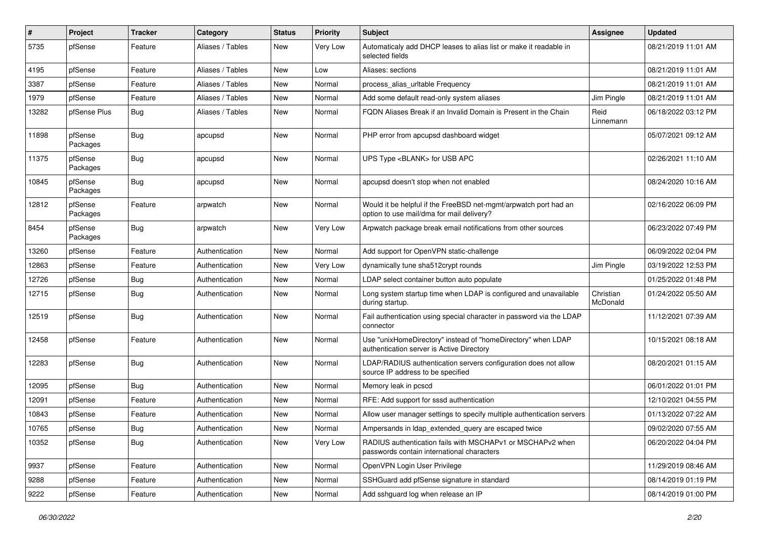| ∦     | Project             | <b>Tracker</b> | Category         | <b>Status</b> | <b>Priority</b> | <b>Subject</b>                                                                                                | Assignee              | <b>Updated</b>      |
|-------|---------------------|----------------|------------------|---------------|-----------------|---------------------------------------------------------------------------------------------------------------|-----------------------|---------------------|
| 5735  | pfSense             | Feature        | Aliases / Tables | New           | Very Low        | Automaticaly add DHCP leases to alias list or make it readable in<br>selected fields                          |                       | 08/21/2019 11:01 AM |
| 4195  | pfSense             | Feature        | Aliases / Tables | New           | Low             | Aliases: sections                                                                                             |                       | 08/21/2019 11:01 AM |
| 3387  | pfSense             | Feature        | Aliases / Tables | New           | Normal          | process_alias_urltable Frequency                                                                              |                       | 08/21/2019 11:01 AM |
| 1979  | pfSense             | Feature        | Aliases / Tables | New           | Normal          | Add some default read-only system aliases                                                                     | Jim Pingle            | 08/21/2019 11:01 AM |
| 13282 | pfSense Plus        | Bug            | Aliases / Tables | New           | Normal          | FQDN Aliases Break if an Invalid Domain is Present in the Chain                                               | Reid<br>Linnemann     | 06/18/2022 03:12 PM |
| 11898 | pfSense<br>Packages | Bug            | apcupsd          | <b>New</b>    | Normal          | PHP error from apcupsd dashboard widget                                                                       |                       | 05/07/2021 09:12 AM |
| 11375 | pfSense<br>Packages | Bug            | apcupsd          | New           | Normal          | UPS Type <blank> for USB APC</blank>                                                                          |                       | 02/26/2021 11:10 AM |
| 10845 | pfSense<br>Packages | <b>Bug</b>     | apcupsd          | <b>New</b>    | Normal          | apcupsd doesn't stop when not enabled                                                                         |                       | 08/24/2020 10:16 AM |
| 12812 | pfSense<br>Packages | Feature        | arpwatch         | New           | Normal          | Would it be helpful if the FreeBSD net-mgmt/arpwatch port had an<br>option to use mail/dma for mail delivery? |                       | 02/16/2022 06:09 PM |
| 8454  | pfSense<br>Packages | <b>Bug</b>     | arpwatch         | New           | Very Low        | Arpwatch package break email notifications from other sources                                                 |                       | 06/23/2022 07:49 PM |
| 13260 | pfSense             | Feature        | Authentication   | New           | Normal          | Add support for OpenVPN static-challenge                                                                      |                       | 06/09/2022 02:04 PM |
| 12863 | pfSense             | Feature        | Authentication   | New           | Very Low        | dynamically tune sha512crypt rounds                                                                           | Jim Pingle            | 03/19/2022 12:53 PM |
| 12726 | pfSense             | Bug            | Authentication   | New           | Normal          | LDAP select container button auto populate                                                                    |                       | 01/25/2022 01:48 PM |
| 12715 | pfSense             | Bug            | Authentication   | New           | Normal          | Long system startup time when LDAP is configured and unavailable<br>during startup.                           | Christian<br>McDonald | 01/24/2022 05:50 AM |
| 12519 | pfSense             | <b>Bug</b>     | Authentication   | New           | Normal          | Fail authentication using special character in password via the LDAP<br>connector                             |                       | 11/12/2021 07:39 AM |
| 12458 | pfSense             | Feature        | Authentication   | New           | Normal          | Use "unixHomeDirectory" instead of "homeDirectory" when LDAP<br>authentication server is Active Directory     |                       | 10/15/2021 08:18 AM |
| 12283 | pfSense             | Bug            | Authentication   | <b>New</b>    | Normal          | LDAP/RADIUS authentication servers configuration does not allow<br>source IP address to be specified          |                       | 08/20/2021 01:15 AM |
| 12095 | pfSense             | Bug            | Authentication   | <b>New</b>    | Normal          | Memory leak in pcscd                                                                                          |                       | 06/01/2022 01:01 PM |
| 12091 | pfSense             | Feature        | Authentication   | New           | Normal          | RFE: Add support for sssd authentication                                                                      |                       | 12/10/2021 04:55 PM |
| 10843 | pfSense             | Feature        | Authentication   | New           | Normal          | Allow user manager settings to specify multiple authentication servers                                        |                       | 01/13/2022 07:22 AM |
| 10765 | pfSense             | Bug            | Authentication   | New           | Normal          | Ampersands in Idap_extended_query are escaped twice                                                           |                       | 09/02/2020 07:55 AM |
| 10352 | pfSense             | Bug            | Authentication   | New           | Very Low        | RADIUS authentication fails with MSCHAPv1 or MSCHAPv2 when<br>passwords contain international characters      |                       | 06/20/2022 04:04 PM |
| 9937  | pfSense             | Feature        | Authentication   | New           | Normal          | OpenVPN Login User Privilege                                                                                  |                       | 11/29/2019 08:46 AM |
| 9288  | pfSense             | Feature        | Authentication   | New           | Normal          | SSHGuard add pfSense signature in standard                                                                    |                       | 08/14/2019 01:19 PM |
| 9222  | pfSense             | Feature        | Authentication   | New           | Normal          | Add sshguard log when release an IP                                                                           |                       | 08/14/2019 01:00 PM |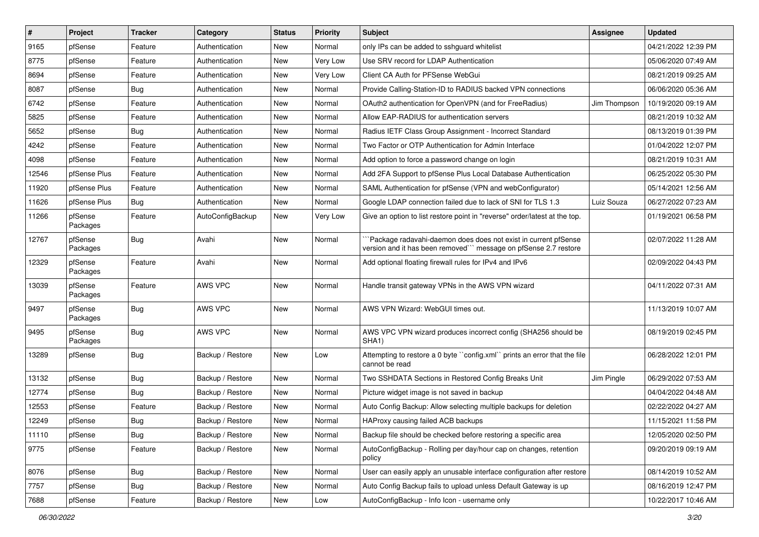| $\vert$ # | Project             | <b>Tracker</b> | Category         | <b>Status</b> | <b>Priority</b> | <b>Subject</b>                                                                                                                     | Assignee     | <b>Updated</b>      |
|-----------|---------------------|----------------|------------------|---------------|-----------------|------------------------------------------------------------------------------------------------------------------------------------|--------------|---------------------|
| 9165      | pfSense             | Feature        | Authentication   | New           | Normal          | only IPs can be added to sshguard whitelist                                                                                        |              | 04/21/2022 12:39 PM |
| 8775      | pfSense             | Feature        | Authentication   | New           | Very Low        | Use SRV record for LDAP Authentication                                                                                             |              | 05/06/2020 07:49 AM |
| 8694      | pfSense             | Feature        | Authentication   | New           | Very Low        | Client CA Auth for PFSense WebGui                                                                                                  |              | 08/21/2019 09:25 AM |
| 8087      | pfSense             | Bug            | Authentication   | New           | Normal          | Provide Calling-Station-ID to RADIUS backed VPN connections                                                                        |              | 06/06/2020 05:36 AM |
| 6742      | pfSense             | Feature        | Authentication   | <b>New</b>    | Normal          | OAuth2 authentication for OpenVPN (and for FreeRadius)                                                                             | Jim Thompson | 10/19/2020 09:19 AM |
| 5825      | pfSense             | Feature        | Authentication   | New           | Normal          | Allow EAP-RADIUS for authentication servers                                                                                        |              | 08/21/2019 10:32 AM |
| 5652      | pfSense             | Bug            | Authentication   | New           | Normal          | Radius IETF Class Group Assignment - Incorrect Standard                                                                            |              | 08/13/2019 01:39 PM |
| 4242      | pfSense             | Feature        | Authentication   | New           | Normal          | Two Factor or OTP Authentication for Admin Interface                                                                               |              | 01/04/2022 12:07 PM |
| 4098      | pfSense             | Feature        | Authentication   | New           | Normal          | Add option to force a password change on login                                                                                     |              | 08/21/2019 10:31 AM |
| 12546     | pfSense Plus        | Feature        | Authentication   | New           | Normal          | Add 2FA Support to pfSense Plus Local Database Authentication                                                                      |              | 06/25/2022 05:30 PM |
| 11920     | pfSense Plus        | Feature        | Authentication   | New           | Normal          | SAML Authentication for pfSense (VPN and webConfigurator)                                                                          |              | 05/14/2021 12:56 AM |
| 11626     | pfSense Plus        | Bug            | Authentication   | New           | Normal          | Google LDAP connection failed due to lack of SNI for TLS 1.3                                                                       | Luiz Souza   | 06/27/2022 07:23 AM |
| 11266     | pfSense<br>Packages | Feature        | AutoConfigBackup | New           | Very Low        | Give an option to list restore point in "reverse" order/latest at the top.                                                         |              | 01/19/2021 06:58 PM |
| 12767     | pfSense<br>Packages | Bug            | Avahi            | New           | Normal          | `Package radavahi-daemon does does not exist in current pfSense<br>version and it has been removed" message on pfSense 2.7 restore |              | 02/07/2022 11:28 AM |
| 12329     | pfSense<br>Packages | Feature        | Avahi            | <b>New</b>    | Normal          | Add optional floating firewall rules for IPv4 and IPv6                                                                             |              | 02/09/2022 04:43 PM |
| 13039     | pfSense<br>Packages | Feature        | AWS VPC          | New           | Normal          | Handle transit gateway VPNs in the AWS VPN wizard                                                                                  |              | 04/11/2022 07:31 AM |
| 9497      | pfSense<br>Packages | Bug            | AWS VPC          | New           | Normal          | AWS VPN Wizard: WebGUI times out.                                                                                                  |              | 11/13/2019 10:07 AM |
| 9495      | pfSense<br>Packages | Bug            | AWS VPC          | <b>New</b>    | Normal          | AWS VPC VPN wizard produces incorrect config (SHA256 should be<br>SHA1)                                                            |              | 08/19/2019 02:45 PM |
| 13289     | pfSense             | Bug            | Backup / Restore | New           | Low             | Attempting to restore a 0 byte "config.xml" prints an error that the file<br>cannot be read                                        |              | 06/28/2022 12:01 PM |
| 13132     | pfSense             | Bug            | Backup / Restore | New           | Normal          | Two SSHDATA Sections in Restored Config Breaks Unit                                                                                | Jim Pingle   | 06/29/2022 07:53 AM |
| 12774     | pfSense             | Bug            | Backup / Restore | New           | Normal          | Picture widget image is not saved in backup                                                                                        |              | 04/04/2022 04:48 AM |
| 12553     | pfSense             | Feature        | Backup / Restore | New           | Normal          | Auto Config Backup: Allow selecting multiple backups for deletion                                                                  |              | 02/22/2022 04:27 AM |
| 12249     | pfSense             | Bug            | Backup / Restore | New           | Normal          | HAProxy causing failed ACB backups                                                                                                 |              | 11/15/2021 11:58 PM |
| 11110     | pfSense             | <b>Bug</b>     | Backup / Restore | New           | Normal          | Backup file should be checked before restoring a specific area                                                                     |              | 12/05/2020 02:50 PM |
| 9775      | pfSense             | Feature        | Backup / Restore | New           | Normal          | AutoConfigBackup - Rolling per day/hour cap on changes, retention<br>policy                                                        |              | 09/20/2019 09:19 AM |
| 8076      | pfSense             | <b>Bug</b>     | Backup / Restore | New           | Normal          | User can easily apply an unusable interface configuration after restore                                                            |              | 08/14/2019 10:52 AM |
| 7757      | pfSense             | <b>Bug</b>     | Backup / Restore | New           | Normal          | Auto Config Backup fails to upload unless Default Gateway is up                                                                    |              | 08/16/2019 12:47 PM |
| 7688      | pfSense             | Feature        | Backup / Restore | New           | Low             | AutoConfigBackup - Info Icon - username only                                                                                       |              | 10/22/2017 10:46 AM |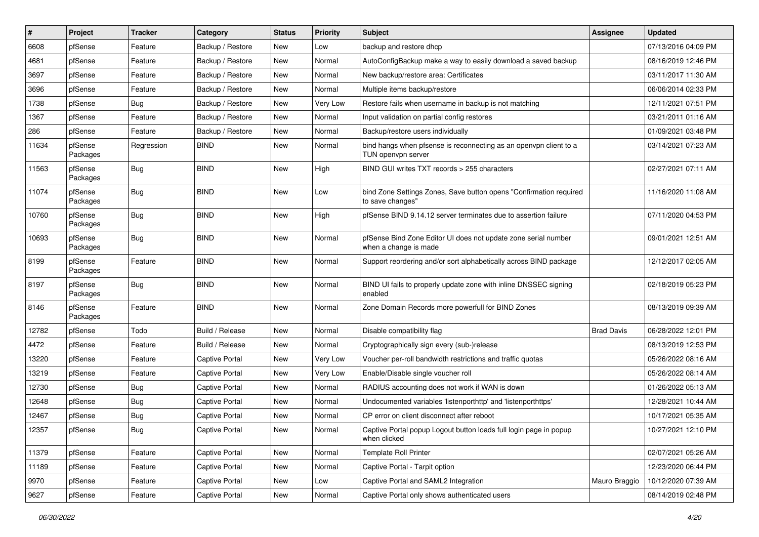| ∦     | Project             | <b>Tracker</b> | Category              | <b>Status</b> | <b>Priority</b> | Subject                                                                                 | Assignee          | <b>Updated</b>      |
|-------|---------------------|----------------|-----------------------|---------------|-----------------|-----------------------------------------------------------------------------------------|-------------------|---------------------|
| 6608  | pfSense             | Feature        | Backup / Restore      | New           | Low             | backup and restore dhcp                                                                 |                   | 07/13/2016 04:09 PM |
| 4681  | pfSense             | Feature        | Backup / Restore      | New           | Normal          | AutoConfigBackup make a way to easily download a saved backup                           |                   | 08/16/2019 12:46 PM |
| 3697  | pfSense             | Feature        | Backup / Restore      | New           | Normal          | New backup/restore area: Certificates                                                   |                   | 03/11/2017 11:30 AM |
| 3696  | pfSense             | Feature        | Backup / Restore      | New           | Normal          | Multiple items backup/restore                                                           |                   | 06/06/2014 02:33 PM |
| 1738  | pfSense             | Bug            | Backup / Restore      | New           | Very Low        | Restore fails when username in backup is not matching                                   |                   | 12/11/2021 07:51 PM |
| 1367  | pfSense             | Feature        | Backup / Restore      | New           | Normal          | Input validation on partial config restores                                             |                   | 03/21/2011 01:16 AM |
| 286   | pfSense             | Feature        | Backup / Restore      | New           | Normal          | Backup/restore users individually                                                       |                   | 01/09/2021 03:48 PM |
| 11634 | pfSense<br>Packages | Regression     | <b>BIND</b>           | New           | Normal          | bind hangs when pfsense is reconnecting as an openvpn client to a<br>TUN openvpn server |                   | 03/14/2021 07:23 AM |
| 11563 | pfSense<br>Packages | Bug            | <b>BIND</b>           | New           | High            | BIND GUI writes TXT records > 255 characters                                            |                   | 02/27/2021 07:11 AM |
| 11074 | pfSense<br>Packages | Bug            | <b>BIND</b>           | New           | Low             | bind Zone Settings Zones, Save button opens "Confirmation required<br>to save changes"  |                   | 11/16/2020 11:08 AM |
| 10760 | pfSense<br>Packages | Bug            | <b>BIND</b>           | New           | High            | pfSense BIND 9.14.12 server terminates due to assertion failure                         |                   | 07/11/2020 04:53 PM |
| 10693 | pfSense<br>Packages | <b>Bug</b>     | <b>BIND</b>           | New           | Normal          | pfSense Bind Zone Editor UI does not update zone serial number<br>when a change is made |                   | 09/01/2021 12:51 AM |
| 8199  | pfSense<br>Packages | Feature        | <b>BIND</b>           | New           | Normal          | Support reordering and/or sort alphabetically across BIND package                       |                   | 12/12/2017 02:05 AM |
| 8197  | pfSense<br>Packages | Bug            | <b>BIND</b>           | New           | Normal          | BIND UI fails to properly update zone with inline DNSSEC signing<br>enabled             |                   | 02/18/2019 05:23 PM |
| 8146  | pfSense<br>Packages | Feature        | <b>BIND</b>           | New           | Normal          | Zone Domain Records more powerfull for BIND Zones                                       |                   | 08/13/2019 09:39 AM |
| 12782 | pfSense             | Todo           | Build / Release       | New           | Normal          | Disable compatibility flag                                                              | <b>Brad Davis</b> | 06/28/2022 12:01 PM |
| 4472  | pfSense             | Feature        | Build / Release       | New           | Normal          | Cryptographically sign every (sub-)release                                              |                   | 08/13/2019 12:53 PM |
| 13220 | pfSense             | Feature        | <b>Captive Portal</b> | New           | Very Low        | Voucher per-roll bandwidth restrictions and traffic quotas                              |                   | 05/26/2022 08:16 AM |
| 13219 | pfSense             | Feature        | <b>Captive Portal</b> | New           | Very Low        | Enable/Disable single voucher roll                                                      |                   | 05/26/2022 08:14 AM |
| 12730 | pfSense             | Bug            | <b>Captive Portal</b> | New           | Normal          | RADIUS accounting does not work if WAN is down                                          |                   | 01/26/2022 05:13 AM |
| 12648 | pfSense             | Bug            | <b>Captive Portal</b> | New           | Normal          | Undocumented variables 'listenporthttp' and 'listenporthttps'                           |                   | 12/28/2021 10:44 AM |
| 12467 | pfSense             | <b>Bug</b>     | <b>Captive Portal</b> | New           | Normal          | CP error on client disconnect after reboot                                              |                   | 10/17/2021 05:35 AM |
| 12357 | pfSense             | <b>Bug</b>     | Captive Portal        | New           | Normal          | Captive Portal popup Logout button loads full login page in popup<br>when clicked       |                   | 10/27/2021 12:10 PM |
| 11379 | pfSense             | Feature        | Captive Portal        | New           | Normal          | Template Roll Printer                                                                   |                   | 02/07/2021 05:26 AM |
| 11189 | pfSense             | Feature        | <b>Captive Portal</b> | New           | Normal          | Captive Portal - Tarpit option                                                          |                   | 12/23/2020 06:44 PM |
| 9970  | pfSense             | Feature        | Captive Portal        | New           | Low             | Captive Portal and SAML2 Integration                                                    | Mauro Braggio     | 10/12/2020 07:39 AM |
| 9627  | pfSense             | Feature        | <b>Captive Portal</b> | New           | Normal          | Captive Portal only shows authenticated users                                           |                   | 08/14/2019 02:48 PM |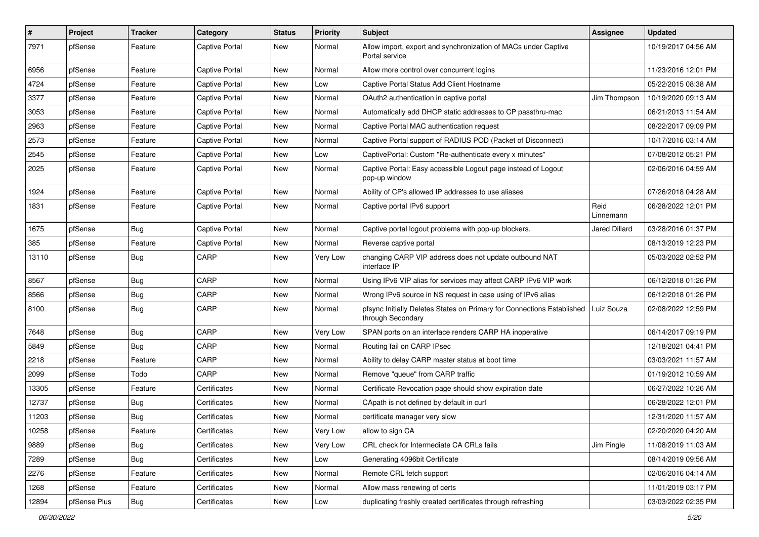| $\sharp$ | Project      | <b>Tracker</b> | Category              | <b>Status</b> | <b>Priority</b> | <b>Subject</b>                                                                              | Assignee             | <b>Updated</b>      |
|----------|--------------|----------------|-----------------------|---------------|-----------------|---------------------------------------------------------------------------------------------|----------------------|---------------------|
| 7971     | pfSense      | Feature        | <b>Captive Portal</b> | New           | Normal          | Allow import, export and synchronization of MACs under Captive<br>Portal service            |                      | 10/19/2017 04:56 AM |
| 6956     | pfSense      | Feature        | <b>Captive Portal</b> | New           | Normal          | Allow more control over concurrent logins                                                   |                      | 11/23/2016 12:01 PM |
| 4724     | pfSense      | Feature        | <b>Captive Portal</b> | New           | Low             | Captive Portal Status Add Client Hostname                                                   |                      | 05/22/2015 08:38 AM |
| 3377     | pfSense      | Feature        | <b>Captive Portal</b> | New           | Normal          | OAuth2 authentication in captive portal                                                     | Jim Thompson         | 10/19/2020 09:13 AM |
| 3053     | pfSense      | Feature        | Captive Portal        | New           | Normal          | Automatically add DHCP static addresses to CP passthru-mac                                  |                      | 06/21/2013 11:54 AM |
| 2963     | pfSense      | Feature        | <b>Captive Portal</b> | New           | Normal          | Captive Portal MAC authentication request                                                   |                      | 08/22/2017 09:09 PM |
| 2573     | pfSense      | Feature        | <b>Captive Portal</b> | New           | Normal          | Captive Portal support of RADIUS POD (Packet of Disconnect)                                 |                      | 10/17/2016 03:14 AM |
| 2545     | pfSense      | Feature        | <b>Captive Portal</b> | New           | Low             | CaptivePortal: Custom "Re-authenticate every x minutes"                                     |                      | 07/08/2012 05:21 PM |
| 2025     | pfSense      | Feature        | <b>Captive Portal</b> | New           | Normal          | Captive Portal: Easy accessible Logout page instead of Logout<br>pop-up window              |                      | 02/06/2016 04:59 AM |
| 1924     | pfSense      | Feature        | <b>Captive Portal</b> | New           | Normal          | Ability of CP's allowed IP addresses to use aliases                                         |                      | 07/26/2018 04:28 AM |
| 1831     | pfSense      | Feature        | <b>Captive Portal</b> | New           | Normal          | Captive portal IPv6 support                                                                 | Reid<br>Linnemann    | 06/28/2022 12:01 PM |
| 1675     | pfSense      | Bug            | <b>Captive Portal</b> | New           | Normal          | Captive portal logout problems with pop-up blockers.                                        | <b>Jared Dillard</b> | 03/28/2016 01:37 PM |
| 385      | pfSense      | Feature        | <b>Captive Portal</b> | New           | Normal          | Reverse captive portal                                                                      |                      | 08/13/2019 12:23 PM |
| 13110    | pfSense      | Bug            | CARP                  | New           | Very Low        | changing CARP VIP address does not update outbound NAT<br>interface IP                      |                      | 05/03/2022 02:52 PM |
| 8567     | pfSense      | Bug            | CARP                  | New           | Normal          | Using IPv6 VIP alias for services may affect CARP IPv6 VIP work                             |                      | 06/12/2018 01:26 PM |
| 8566     | pfSense      | Bug            | CARP                  | New           | Normal          | Wrong IPv6 source in NS request in case using of IPv6 alias                                 |                      | 06/12/2018 01:26 PM |
| 8100     | pfSense      | Bug            | CARP                  | <b>New</b>    | Normal          | pfsync Initially Deletes States on Primary for Connections Established<br>through Secondary | Luiz Souza           | 02/08/2022 12:59 PM |
| 7648     | pfSense      | Bug            | CARP                  | New           | Very Low        | SPAN ports on an interface renders CARP HA inoperative                                      |                      | 06/14/2017 09:19 PM |
| 5849     | pfSense      | Bug            | CARP                  | New           | Normal          | Routing fail on CARP IPsec                                                                  |                      | 12/18/2021 04:41 PM |
| 2218     | pfSense      | Feature        | CARP                  | New           | Normal          | Ability to delay CARP master status at boot time                                            |                      | 03/03/2021 11:57 AM |
| 2099     | pfSense      | Todo           | CARP                  | New           | Normal          | Remove "queue" from CARP traffic                                                            |                      | 01/19/2012 10:59 AM |
| 13305    | pfSense      | Feature        | Certificates          | New           | Normal          | Certificate Revocation page should show expiration date                                     |                      | 06/27/2022 10:26 AM |
| 12737    | pfSense      | Bug            | Certificates          | New           | Normal          | CApath is not defined by default in curl                                                    |                      | 06/28/2022 12:01 PM |
| 11203    | pfSense      | <b>Bug</b>     | Certificates          | New           | Normal          | certificate manager very slow                                                               |                      | 12/31/2020 11:57 AM |
| 10258    | ptSense      | Feature        | Certificates          | New           | Very Low        | allow to sign CA                                                                            |                      | 02/20/2020 04:20 AM |
| 9889     | pfSense      | <b>Bug</b>     | Certificates          | New           | Very Low        | CRL check for Intermediate CA CRLs fails                                                    | Jim Pingle           | 11/08/2019 11:03 AM |
| 7289     | pfSense      | Bug            | Certificates          | New           | Low             | Generating 4096bit Certificate                                                              |                      | 08/14/2019 09:56 AM |
| 2276     | pfSense      | Feature        | Certificates          | New           | Normal          | Remote CRL fetch support                                                                    |                      | 02/06/2016 04:14 AM |
| 1268     | pfSense      | Feature        | Certificates          | New           | Normal          | Allow mass renewing of certs                                                                |                      | 11/01/2019 03:17 PM |
| 12894    | pfSense Plus | Bug            | Certificates          | New           | Low             | duplicating freshly created certificates through refreshing                                 |                      | 03/03/2022 02:35 PM |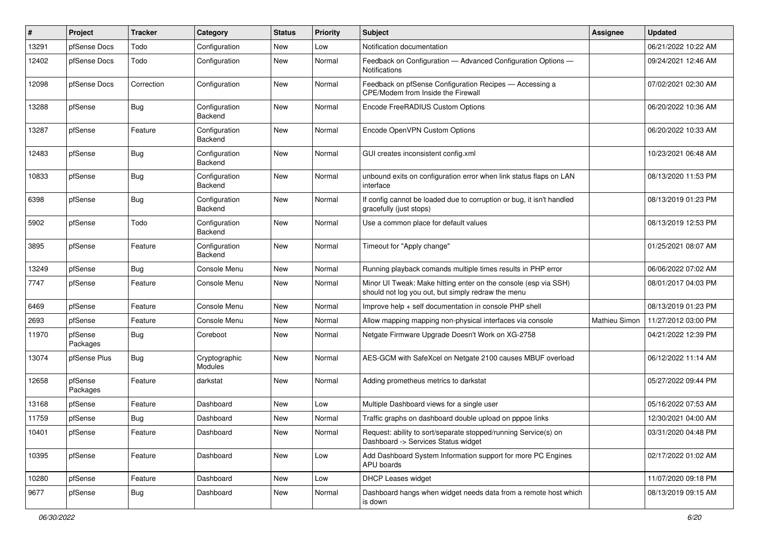| $\#$  | Project             | <b>Tracker</b> | Category                        | <b>Status</b> | <b>Priority</b> | Subject                                                                                                               | Assignee      | <b>Updated</b>      |
|-------|---------------------|----------------|---------------------------------|---------------|-----------------|-----------------------------------------------------------------------------------------------------------------------|---------------|---------------------|
| 13291 | pfSense Docs        | Todo           | Configuration                   | New           | Low             | Notification documentation                                                                                            |               | 06/21/2022 10:22 AM |
| 12402 | pfSense Docs        | Todo           | Configuration                   | New           | Normal          | Feedback on Configuration - Advanced Configuration Options -<br>Notifications                                         |               | 09/24/2021 12:46 AM |
| 12098 | pfSense Docs        | Correction     | Configuration                   | New           | Normal          | Feedback on pfSense Configuration Recipes - Accessing a<br>CPE/Modem from Inside the Firewall                         |               | 07/02/2021 02:30 AM |
| 13288 | pfSense             | <b>Bug</b>     | Configuration<br>Backend        | New           | Normal          | Encode FreeRADIUS Custom Options                                                                                      |               | 06/20/2022 10:36 AM |
| 13287 | pfSense             | Feature        | Configuration<br>Backend        | New           | Normal          | Encode OpenVPN Custom Options                                                                                         |               | 06/20/2022 10:33 AM |
| 12483 | pfSense             | Bug            | Configuration<br>Backend        | New           | Normal          | GUI creates inconsistent config.xml                                                                                   |               | 10/23/2021 06:48 AM |
| 10833 | pfSense             | Bug            | Configuration<br><b>Backend</b> | New           | Normal          | unbound exits on configuration error when link status flaps on LAN<br>interface                                       |               | 08/13/2020 11:53 PM |
| 6398  | pfSense             | <b>Bug</b>     | Configuration<br>Backend        | New           | Normal          | If config cannot be loaded due to corruption or bug, it isn't handled<br>gracefully (just stops)                      |               | 08/13/2019 01:23 PM |
| 5902  | pfSense             | Todo           | Configuration<br>Backend        | New           | Normal          | Use a common place for default values                                                                                 |               | 08/13/2019 12:53 PM |
| 3895  | pfSense             | Feature        | Configuration<br>Backend        | New           | Normal          | Timeout for "Apply change"                                                                                            |               | 01/25/2021 08:07 AM |
| 13249 | pfSense             | Bug            | Console Menu                    | New           | Normal          | Running playback comands multiple times results in PHP error                                                          |               | 06/06/2022 07:02 AM |
| 7747  | pfSense             | Feature        | Console Menu                    | New           | Normal          | Minor UI Tweak: Make hitting enter on the console (esp via SSH)<br>should not log you out, but simply redraw the menu |               | 08/01/2017 04:03 PM |
| 6469  | pfSense             | Feature        | Console Menu                    | <b>New</b>    | Normal          | Improve help + self documentation in console PHP shell                                                                |               | 08/13/2019 01:23 PM |
| 2693  | pfSense             | Feature        | Console Menu                    | New           | Normal          | Allow mapping mapping non-physical interfaces via console                                                             | Mathieu Simon | 11/27/2012 03:00 PM |
| 11970 | pfSense<br>Packages | <b>Bug</b>     | Coreboot                        | New           | Normal          | Netgate Firmware Upgrade Doesn't Work on XG-2758                                                                      |               | 04/21/2022 12:39 PM |
| 13074 | pfSense Plus        | <b>Bug</b>     | Cryptographic<br>Modules        | New           | Normal          | AES-GCM with SafeXcel on Netgate 2100 causes MBUF overload                                                            |               | 06/12/2022 11:14 AM |
| 12658 | pfSense<br>Packages | Feature        | darkstat                        | New           | Normal          | Adding prometheus metrics to darkstat                                                                                 |               | 05/27/2022 09:44 PM |
| 13168 | pfSense             | Feature        | Dashboard                       | New           | Low             | Multiple Dashboard views for a single user                                                                            |               | 05/16/2022 07:53 AM |
| 11759 | pfSense             | <b>Bug</b>     | Dashboard                       | New           | Normal          | Traffic graphs on dashboard double upload on pppoe links                                                              |               | 12/30/2021 04:00 AM |
| 10401 | pfSense             | Feature        | Dashboard                       | New           | Normal          | Request: ability to sort/separate stopped/running Service(s) on<br>Dashboard -> Services Status widget                |               | 03/31/2020 04:48 PM |
| 10395 | pfSense             | Feature        | Dashboard                       | New           | Low             | Add Dashboard System Information support for more PC Engines<br>APU boards                                            |               | 02/17/2022 01:02 AM |
| 10280 | pfSense             | Feature        | Dashboard                       | New           | Low             | <b>DHCP Leases widget</b>                                                                                             |               | 11/07/2020 09:18 PM |
| 9677  | pfSense             | <b>Bug</b>     | Dashboard                       | New           | Normal          | Dashboard hangs when widget needs data from a remote host which<br>is down                                            |               | 08/13/2019 09:15 AM |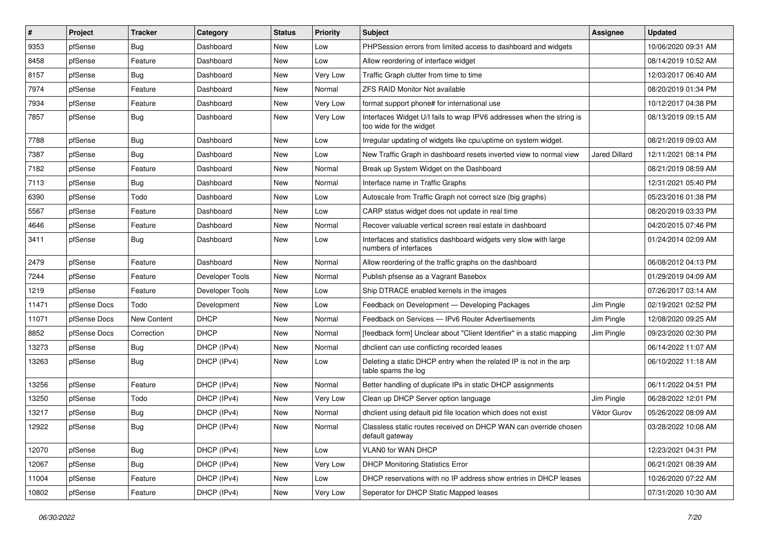| #     | Project      | <b>Tracker</b> | Category        | <b>Status</b> | <b>Priority</b> | Subject                                                                                          | <b>Assignee</b>      | <b>Updated</b>      |
|-------|--------------|----------------|-----------------|---------------|-----------------|--------------------------------------------------------------------------------------------------|----------------------|---------------------|
| 9353  | pfSense      | Bug            | Dashboard       | New           | Low             | PHPSession errors from limited access to dashboard and widgets                                   |                      | 10/06/2020 09:31 AM |
| 8458  | pfSense      | Feature        | Dashboard       | New           | Low             | Allow reordering of interface widget                                                             |                      | 08/14/2019 10:52 AM |
| 8157  | pfSense      | <b>Bug</b>     | Dashboard       | New           | Very Low        | Traffic Graph clutter from time to time                                                          |                      | 12/03/2017 06:40 AM |
| 7974  | pfSense      | Feature        | Dashboard       | New           | Normal          | <b>ZFS RAID Monitor Not available</b>                                                            |                      | 08/20/2019 01:34 PM |
| 7934  | pfSense      | Feature        | Dashboard       | New           | Very Low        | format support phone# for international use                                                      |                      | 10/12/2017 04:38 PM |
| 7857  | pfSense      | <b>Bug</b>     | Dashboard       | New           | Very Low        | Interfaces Widget U/I fails to wrap IPV6 addresses when the string is<br>too wide for the widget |                      | 08/13/2019 09:15 AM |
| 7788  | pfSense      | Bug            | Dashboard       | New           | Low             | Irregular updating of widgets like cpu/uptime on system widget.                                  |                      | 08/21/2019 09:03 AM |
| 7387  | pfSense      | Bug            | Dashboard       | New           | Low             | New Traffic Graph in dashboard resets inverted view to normal view                               | <b>Jared Dillard</b> | 12/11/2021 08:14 PM |
| 7182  | pfSense      | Feature        | Dashboard       | New           | Normal          | Break up System Widget on the Dashboard                                                          |                      | 08/21/2019 08:59 AM |
| 7113  | pfSense      | <b>Bug</b>     | Dashboard       | New           | Normal          | Interface name in Traffic Graphs                                                                 |                      | 12/31/2021 05:40 PM |
| 6390  | pfSense      | Todo           | Dashboard       | New           | Low             | Autoscale from Traffic Graph not correct size (big graphs)                                       |                      | 05/23/2016 01:38 PM |
| 5567  | pfSense      | Feature        | Dashboard       | New           | Low             | CARP status widget does not update in real time                                                  |                      | 08/20/2019 03:33 PM |
| 4646  | pfSense      | Feature        | Dashboard       | New           | Normal          | Recover valuable vertical screen real estate in dashboard                                        |                      | 04/20/2015 07:46 PM |
| 3411  | pfSense      | Bug            | Dashboard       | New           | Low             | Interfaces and statistics dashboard widgets very slow with large<br>numbers of interfaces        |                      | 01/24/2014 02:09 AM |
| 2479  | pfSense      | Feature        | Dashboard       | New           | Normal          | Allow reordering of the traffic graphs on the dashboard                                          |                      | 06/08/2012 04:13 PM |
| 7244  | pfSense      | Feature        | Developer Tools | New           | Normal          | Publish pfsense as a Vagrant Basebox                                                             |                      | 01/29/2019 04:09 AM |
| 1219  | pfSense      | Feature        | Developer Tools | New           | Low             | Ship DTRACE enabled kernels in the images                                                        |                      | 07/26/2017 03:14 AM |
| 11471 | pfSense Docs | Todo           | Development     | New           | Low             | Feedback on Development - Developing Packages                                                    | Jim Pingle           | 02/19/2021 02:52 PM |
| 11071 | pfSense Docs | New Content    | <b>DHCP</b>     | New           | Normal          | Feedback on Services - IPv6 Router Advertisements                                                | Jim Pingle           | 12/08/2020 09:25 AM |
| 8852  | pfSense Docs | Correction     | <b>DHCP</b>     | New           | Normal          | [feedback form] Unclear about "Client Identifier" in a static mapping                            | Jim Pingle           | 09/23/2020 02:30 PM |
| 13273 | pfSense      | <b>Bug</b>     | DHCP (IPv4)     | New           | Normal          | dhclient can use conflicting recorded leases                                                     |                      | 06/14/2022 11:07 AM |
| 13263 | pfSense      | <b>Bug</b>     | DHCP (IPv4)     | New           | Low             | Deleting a static DHCP entry when the related IP is not in the arp<br>table spams the log        |                      | 06/10/2022 11:18 AM |
| 13256 | pfSense      | Feature        | DHCP (IPv4)     | New           | Normal          | Better handling of duplicate IPs in static DHCP assignments                                      |                      | 06/11/2022 04:51 PM |
| 13250 | pfSense      | Todo           | DHCP (IPv4)     | New           | Very Low        | Clean up DHCP Server option language                                                             | Jim Pingle           | 06/28/2022 12:01 PM |
| 13217 | pfSense      | <b>Bug</b>     | DHCP (IPv4)     | New           | Normal          | dhclient using default pid file location which does not exist                                    | <b>Viktor Gurov</b>  | 05/26/2022 08:09 AM |
| 12922 | pfSense      | I Bug          | DHCP (IPv4)     | New           | Normal          | Classless static routes received on DHCP WAN can override chosen<br>default gateway              |                      | 03/28/2022 10:08 AM |
| 12070 | pfSense      | Bug            | DHCP (IPv4)     | New           | Low             | VLAN0 for WAN DHCP                                                                               |                      | 12/23/2021 04:31 PM |
| 12067 | pfSense      | <b>Bug</b>     | DHCP (IPv4)     | New           | Very Low        | <b>DHCP Monitoring Statistics Error</b>                                                          |                      | 06/21/2021 08:39 AM |
| 11004 | pfSense      | Feature        | DHCP (IPv4)     | New           | Low             | DHCP reservations with no IP address show entries in DHCP leases                                 |                      | 10/26/2020 07:22 AM |
| 10802 | pfSense      | Feature        | DHCP (IPv4)     | New           | Very Low        | Seperator for DHCP Static Mapped leases                                                          |                      | 07/31/2020 10:30 AM |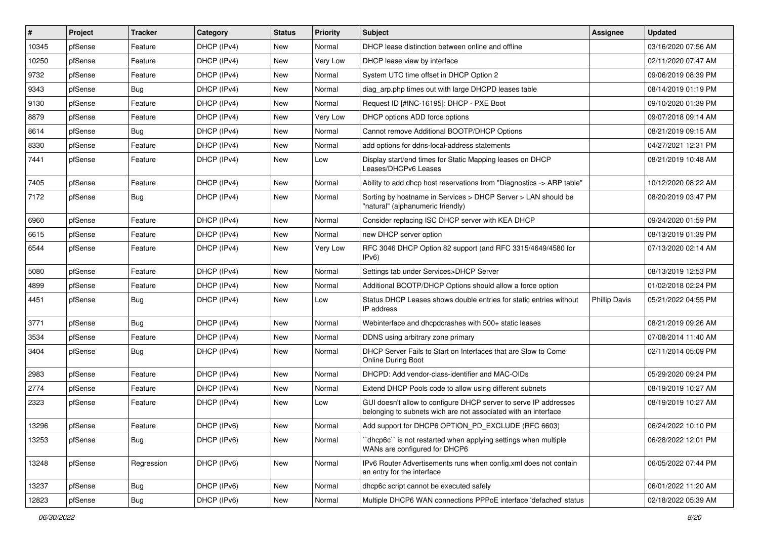| #     | Project | <b>Tracker</b> | Category    | <b>Status</b> | <b>Priority</b> | <b>Subject</b>                                                                                                                     | Assignee             | <b>Updated</b>      |
|-------|---------|----------------|-------------|---------------|-----------------|------------------------------------------------------------------------------------------------------------------------------------|----------------------|---------------------|
| 10345 | pfSense | Feature        | DHCP (IPv4) | New           | Normal          | DHCP lease distinction between online and offline                                                                                  |                      | 03/16/2020 07:56 AM |
| 10250 | pfSense | Feature        | DHCP (IPv4) | New           | Very Low        | DHCP lease view by interface                                                                                                       |                      | 02/11/2020 07:47 AM |
| 9732  | pfSense | Feature        | DHCP (IPv4) | New           | Normal          | System UTC time offset in DHCP Option 2                                                                                            |                      | 09/06/2019 08:39 PM |
| 9343  | pfSense | Bug            | DHCP (IPv4) | New           | Normal          | diag_arp.php times out with large DHCPD leases table                                                                               |                      | 08/14/2019 01:19 PM |
| 9130  | pfSense | Feature        | DHCP (IPv4) | New           | Normal          | Request ID [#INC-16195]: DHCP - PXE Boot                                                                                           |                      | 09/10/2020 01:39 PM |
| 8879  | pfSense | Feature        | DHCP (IPv4) | New           | Very Low        | DHCP options ADD force options                                                                                                     |                      | 09/07/2018 09:14 AM |
| 8614  | pfSense | Bug            | DHCP (IPv4) | New           | Normal          | Cannot remove Additional BOOTP/DHCP Options                                                                                        |                      | 08/21/2019 09:15 AM |
| 8330  | pfSense | Feature        | DHCP (IPv4) | New           | Normal          | add options for ddns-local-address statements                                                                                      |                      | 04/27/2021 12:31 PM |
| 7441  | pfSense | Feature        | DHCP (IPv4) | New           | Low             | Display start/end times for Static Mapping leases on DHCP<br>Leases/DHCPv6 Leases                                                  |                      | 08/21/2019 10:48 AM |
| 7405  | pfSense | Feature        | DHCP (IPv4) | New           | Normal          | Ability to add dhcp host reservations from "Diagnostics -> ARP table"                                                              |                      | 10/12/2020 08:22 AM |
| 7172  | pfSense | Bug            | DHCP (IPv4) | New           | Normal          | Sorting by hostname in Services > DHCP Server > LAN should be<br>"natural" (alphanumeric friendly)                                 |                      | 08/20/2019 03:47 PM |
| 6960  | pfSense | Feature        | DHCP (IPv4) | New           | Normal          | Consider replacing ISC DHCP server with KEA DHCP                                                                                   |                      | 09/24/2020 01:59 PM |
| 6615  | pfSense | Feature        | DHCP (IPv4) | New           | Normal          | new DHCP server option                                                                                                             |                      | 08/13/2019 01:39 PM |
| 6544  | pfSense | Feature        | DHCP (IPv4) | New           | Very Low        | RFC 3046 DHCP Option 82 support (and RFC 3315/4649/4580 for<br>IPv6                                                                |                      | 07/13/2020 02:14 AM |
| 5080  | pfSense | Feature        | DHCP (IPv4) | New           | Normal          | Settings tab under Services>DHCP Server                                                                                            |                      | 08/13/2019 12:53 PM |
| 4899  | pfSense | Feature        | DHCP (IPv4) | New           | Normal          | Additional BOOTP/DHCP Options should allow a force option                                                                          |                      | 01/02/2018 02:24 PM |
| 4451  | pfSense | Bug            | DHCP (IPv4) | New           | Low             | Status DHCP Leases shows double entries for static entries without<br>IP address                                                   | <b>Phillip Davis</b> | 05/21/2022 04:55 PM |
| 3771  | pfSense | Bug            | DHCP (IPv4) | New           | Normal          | Webinterface and dhcpdcrashes with 500+ static leases                                                                              |                      | 08/21/2019 09:26 AM |
| 3534  | pfSense | Feature        | DHCP (IPv4) | New           | Normal          | DDNS using arbitrary zone primary                                                                                                  |                      | 07/08/2014 11:40 AM |
| 3404  | pfSense | <b>Bug</b>     | DHCP (IPv4) | New           | Normal          | DHCP Server Fails to Start on Interfaces that are Slow to Come<br>Online During Boot                                               |                      | 02/11/2014 05:09 PM |
| 2983  | pfSense | Feature        | DHCP (IPv4) | New           | Normal          | DHCPD: Add vendor-class-identifier and MAC-OIDs                                                                                    |                      | 05/29/2020 09:24 PM |
| 2774  | pfSense | Feature        | DHCP (IPv4) | New           | Normal          | Extend DHCP Pools code to allow using different subnets                                                                            |                      | 08/19/2019 10:27 AM |
| 2323  | pfSense | Feature        | DHCP (IPv4) | New           | Low             | GUI doesn't allow to configure DHCP server to serve IP addresses<br>belonging to subnets wich are not associated with an interface |                      | 08/19/2019 10:27 AM |
| 13296 | pfSense | Feature        | DHCP (IPv6) | New           | Normal          | Add support for DHCP6 OPTION_PD_EXCLUDE (RFC 6603)                                                                                 |                      | 06/24/2022 10:10 PM |
| 13253 | pfSense | <b>Bug</b>     | DHCP (IPv6) | New           | Normal          | dhcp6c" is not restarted when applying settings when multiple<br>WANs are configured for DHCP6                                     |                      | 06/28/2022 12:01 PM |
| 13248 | pfSense | Regression     | DHCP (IPv6) | New           | Normal          | IPv6 Router Advertisements runs when config.xml does not contain<br>an entry for the interface                                     |                      | 06/05/2022 07:44 PM |
| 13237 | pfSense | <b>Bug</b>     | DHCP (IPv6) | New           | Normal          | dhcp6c script cannot be executed safely                                                                                            |                      | 06/01/2022 11:20 AM |
| 12823 | pfSense | Bug            | DHCP (IPv6) | New           | Normal          | Multiple DHCP6 WAN connections PPPoE interface 'defached' status                                                                   |                      | 02/18/2022 05:39 AM |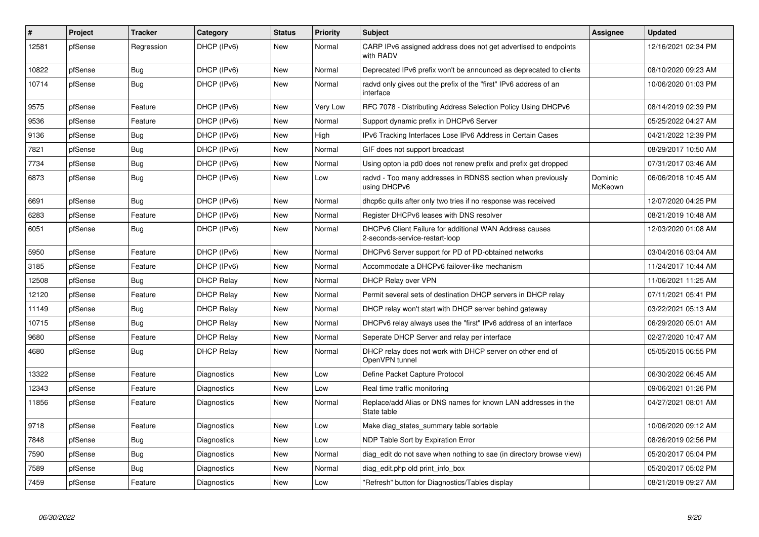| #     | Project | <b>Tracker</b> | Category          | <b>Status</b> | <b>Priority</b> | <b>Subject</b>                                                                            | Assignee           | <b>Updated</b>      |
|-------|---------|----------------|-------------------|---------------|-----------------|-------------------------------------------------------------------------------------------|--------------------|---------------------|
| 12581 | pfSense | Regression     | DHCP (IPv6)       | <b>New</b>    | Normal          | CARP IPv6 assigned address does not get advertised to endpoints<br>with RADV              |                    | 12/16/2021 02:34 PM |
| 10822 | pfSense | <b>Bug</b>     | DHCP (IPv6)       | <b>New</b>    | Normal          | Deprecated IPv6 prefix won't be announced as deprecated to clients                        |                    | 08/10/2020 09:23 AM |
| 10714 | pfSense | Bug            | DHCP (IPv6)       | New           | Normal          | radvd only gives out the prefix of the "first" IPv6 address of an<br>interface            |                    | 10/06/2020 01:03 PM |
| 9575  | pfSense | Feature        | DHCP (IPv6)       | New           | Very Low        | RFC 7078 - Distributing Address Selection Policy Using DHCPv6                             |                    | 08/14/2019 02:39 PM |
| 9536  | pfSense | Feature        | DHCP (IPv6)       | <b>New</b>    | Normal          | Support dynamic prefix in DHCPv6 Server                                                   |                    | 05/25/2022 04:27 AM |
| 9136  | pfSense | <b>Bug</b>     | DHCP (IPv6)       | New           | High            | IPv6 Tracking Interfaces Lose IPv6 Address in Certain Cases                               |                    | 04/21/2022 12:39 PM |
| 7821  | pfSense | Bug            | DHCP (IPv6)       | New           | Normal          | GIF does not support broadcast                                                            |                    | 08/29/2017 10:50 AM |
| 7734  | pfSense | <b>Bug</b>     | DHCP (IPv6)       | <b>New</b>    | Normal          | Using opton ia pd0 does not renew prefix and prefix get dropped                           |                    | 07/31/2017 03:46 AM |
| 6873  | pfSense | Bug            | DHCP (IPv6)       | New           | Low             | radvd - Too many addresses in RDNSS section when previously<br>using DHCPv6               | Dominic<br>McKeown | 06/06/2018 10:45 AM |
| 6691  | pfSense | Bug            | DHCP (IPv6)       | <b>New</b>    | Normal          | dhcp6c quits after only two tries if no response was received                             |                    | 12/07/2020 04:25 PM |
| 6283  | pfSense | Feature        | DHCP (IPv6)       | New           | Normal          | Register DHCPv6 leases with DNS resolver                                                  |                    | 08/21/2019 10:48 AM |
| 6051  | pfSense | <b>Bug</b>     | DHCP (IPv6)       | New           | Normal          | DHCPv6 Client Failure for additional WAN Address causes<br>2-seconds-service-restart-loop |                    | 12/03/2020 01:08 AM |
| 5950  | pfSense | Feature        | DHCP (IPv6)       | <b>New</b>    | Normal          | DHCPv6 Server support for PD of PD-obtained networks                                      |                    | 03/04/2016 03:04 AM |
| 3185  | pfSense | Feature        | DHCP (IPv6)       | New           | Normal          | Accommodate a DHCPv6 failover-like mechanism                                              |                    | 11/24/2017 10:44 AM |
| 12508 | pfSense | <b>Bug</b>     | <b>DHCP Relay</b> | New           | Normal          | <b>DHCP Relay over VPN</b>                                                                |                    | 11/06/2021 11:25 AM |
| 12120 | pfSense | Feature        | <b>DHCP Relay</b> | New           | Normal          | Permit several sets of destination DHCP servers in DHCP relay                             |                    | 07/11/2021 05:41 PM |
| 11149 | pfSense | Bug            | <b>DHCP Relay</b> | New           | Normal          | DHCP relay won't start with DHCP server behind gateway                                    |                    | 03/22/2021 05:13 AM |
| 10715 | pfSense | <b>Bug</b>     | <b>DHCP Relay</b> | New           | Normal          | DHCPv6 relay always uses the "first" IPv6 address of an interface                         |                    | 06/29/2020 05:01 AM |
| 9680  | pfSense | Feature        | <b>DHCP Relay</b> | New           | Normal          | Seperate DHCP Server and relay per interface                                              |                    | 02/27/2020 10:47 AM |
| 4680  | pfSense | Bug            | <b>DHCP Relay</b> | <b>New</b>    | Normal          | DHCP relay does not work with DHCP server on other end of<br>OpenVPN tunnel               |                    | 05/05/2015 06:55 PM |
| 13322 | pfSense | Feature        | Diagnostics       | <b>New</b>    | Low             | Define Packet Capture Protocol                                                            |                    | 06/30/2022 06:45 AM |
| 12343 | pfSense | Feature        | Diagnostics       | New           | Low             | Real time traffic monitoring                                                              |                    | 09/06/2021 01:26 PM |
| 11856 | pfSense | Feature        | Diagnostics       | New           | Normal          | Replace/add Alias or DNS names for known LAN addresses in the<br>State table              |                    | 04/27/2021 08:01 AM |
| 9718  | pfSense | Feature        | Diagnostics       | <b>New</b>    | Low             | Make diag states summary table sortable                                                   |                    | 10/06/2020 09:12 AM |
| 7848  | pfSense | <b>Bug</b>     | Diagnostics       | <b>New</b>    | Low             | NDP Table Sort by Expiration Error                                                        |                    | 08/26/2019 02:56 PM |
| 7590  | pfSense | Bug            | Diagnostics       | New           | Normal          | diag edit do not save when nothing to sae (in directory browse view)                      |                    | 05/20/2017 05:04 PM |
| 7589  | pfSense | <b>Bug</b>     | Diagnostics       | New           | Normal          | diag_edit.php old print_info_box                                                          |                    | 05/20/2017 05:02 PM |
| 7459  | pfSense | Feature        | Diagnostics       | New           | Low             | "Refresh" button for Diagnostics/Tables display                                           |                    | 08/21/2019 09:27 AM |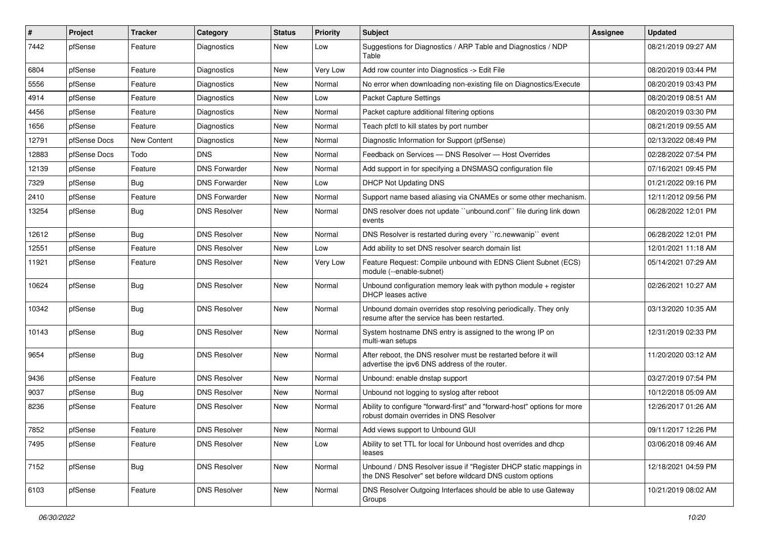| $\sharp$ | Project      | <b>Tracker</b>     | Category             | <b>Status</b> | <b>Priority</b> | Subject                                                                                                                       | Assignee | <b>Updated</b>      |
|----------|--------------|--------------------|----------------------|---------------|-----------------|-------------------------------------------------------------------------------------------------------------------------------|----------|---------------------|
| 7442     | pfSense      | Feature            | Diagnostics          | New           | Low             | Suggestions for Diagnostics / ARP Table and Diagnostics / NDP<br>Table                                                        |          | 08/21/2019 09:27 AM |
| 6804     | pfSense      | Feature            | <b>Diagnostics</b>   | New           | Very Low        | Add row counter into Diagnostics -> Edit File                                                                                 |          | 08/20/2019 03:44 PM |
| 5556     | pfSense      | Feature            | Diagnostics          | New           | Normal          | No error when downloading non-existing file on Diagnostics/Execute                                                            |          | 08/20/2019 03:43 PM |
| 4914     | pfSense      | Feature            | <b>Diagnostics</b>   | New           | Low             | Packet Capture Settings                                                                                                       |          | 08/20/2019 08:51 AM |
| 4456     | pfSense      | Feature            | Diagnostics          | New           | Normal          | Packet capture additional filtering options                                                                                   |          | 08/20/2019 03:30 PM |
| 1656     | pfSense      | Feature            | Diagnostics          | New           | Normal          | Teach pfctl to kill states by port number                                                                                     |          | 08/21/2019 09:55 AM |
| 12791    | pfSense Docs | <b>New Content</b> | Diagnostics          | New           | Normal          | Diagnostic Information for Support (pfSense)                                                                                  |          | 02/13/2022 08:49 PM |
| 12883    | pfSense Docs | Todo               | <b>DNS</b>           | New           | Normal          | Feedback on Services - DNS Resolver - Host Overrides                                                                          |          | 02/28/2022 07:54 PM |
| 12139    | pfSense      | Feature            | <b>DNS Forwarder</b> | New           | Normal          | Add support in for specifying a DNSMASQ configuration file                                                                    |          | 07/16/2021 09:45 PM |
| 7329     | pfSense      | Bug                | <b>DNS Forwarder</b> | New           | Low             | <b>DHCP Not Updating DNS</b>                                                                                                  |          | 01/21/2022 09:16 PM |
| 2410     | pfSense      | Feature            | <b>DNS Forwarder</b> | New           | Normal          | Support name based aliasing via CNAMEs or some other mechanism.                                                               |          | 12/11/2012 09:56 PM |
| 13254    | pfSense      | Bug                | <b>DNS Resolver</b>  | New           | Normal          | DNS resolver does not update "unbound.conf" file during link down<br>events                                                   |          | 06/28/2022 12:01 PM |
| 12612    | pfSense      | Bug                | <b>DNS Resolver</b>  | <b>New</b>    | Normal          | DNS Resolver is restarted during every "rc.newwanip" event                                                                    |          | 06/28/2022 12:01 PM |
| 12551    | pfSense      | Feature            | <b>DNS Resolver</b>  | New           | Low             | Add ability to set DNS resolver search domain list                                                                            |          | 12/01/2021 11:18 AM |
| 11921    | pfSense      | Feature            | <b>DNS Resolver</b>  | New           | Very Low        | Feature Request: Compile unbound with EDNS Client Subnet (ECS)<br>module (--enable-subnet)                                    |          | 05/14/2021 07:29 AM |
| 10624    | pfSense      | Bug                | <b>DNS Resolver</b>  | New           | Normal          | Unbound configuration memory leak with python module + register<br><b>DHCP</b> leases active                                  |          | 02/26/2021 10:27 AM |
| 10342    | pfSense      | Bug                | <b>DNS Resolver</b>  | New           | Normal          | Unbound domain overrides stop resolving periodically. They only<br>resume after the service has been restarted.               |          | 03/13/2020 10:35 AM |
| 10143    | pfSense      | Bug                | <b>DNS Resolver</b>  | New           | Normal          | System hostname DNS entry is assigned to the wrong IP on<br>multi-wan setups                                                  |          | 12/31/2019 02:33 PM |
| 9654     | pfSense      | Bug                | <b>DNS Resolver</b>  | New           | Normal          | After reboot, the DNS resolver must be restarted before it will<br>advertise the ipv6 DNS address of the router.              |          | 11/20/2020 03:12 AM |
| 9436     | pfSense      | Feature            | <b>DNS Resolver</b>  | New           | Normal          | Unbound: enable dnstap support                                                                                                |          | 03/27/2019 07:54 PM |
| 9037     | pfSense      | Bug                | <b>DNS Resolver</b>  | New           | Normal          | Unbound not logging to syslog after reboot                                                                                    |          | 10/12/2018 05:09 AM |
| 8236     | pfSense      | Feature            | <b>DNS Resolver</b>  | New           | Normal          | Ability to configure "forward-first" and "forward-host" options for more<br>robust domain overrides in DNS Resolver           |          | 12/26/2017 01:26 AM |
| 7852     | pfSense      | Feature            | <b>DNS Resolver</b>  | New           | Normal          | Add views support to Unbound GUI                                                                                              |          | 09/11/2017 12:26 PM |
| 7495     | pfSense      | Feature            | <b>DNS Resolver</b>  | New           | Low             | Ability to set TTL for local for Unbound host overrides and dhcp<br>leases                                                    |          | 03/06/2018 09:46 AM |
| 7152     | pfSense      | Bug                | <b>DNS Resolver</b>  | New           | Normal          | Unbound / DNS Resolver issue if "Register DHCP static mappings in<br>the DNS Resolver" set before wildcard DNS custom options |          | 12/18/2021 04:59 PM |
| 6103     | pfSense      | Feature            | <b>DNS Resolver</b>  | New           | Normal          | DNS Resolver Outgoing Interfaces should be able to use Gateway<br>Groups                                                      |          | 10/21/2019 08:02 AM |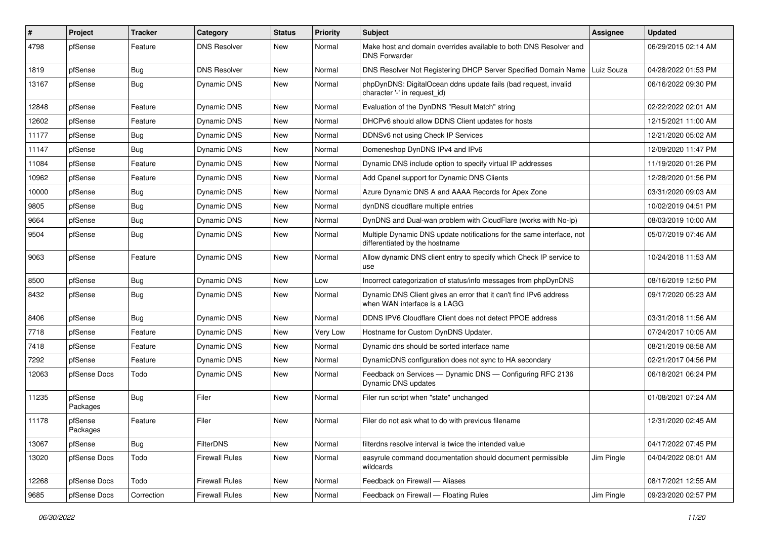| #     | Project             | <b>Tracker</b> | Category              | <b>Status</b> | <b>Priority</b> | Subject                                                                                                 | <b>Assignee</b> | <b>Updated</b>      |
|-------|---------------------|----------------|-----------------------|---------------|-----------------|---------------------------------------------------------------------------------------------------------|-----------------|---------------------|
| 4798  | pfSense             | Feature        | <b>DNS Resolver</b>   | New           | Normal          | Make host and domain overrides available to both DNS Resolver and<br><b>DNS Forwarder</b>               |                 | 06/29/2015 02:14 AM |
| 1819  | pfSense             | Bug            | <b>DNS Resolver</b>   | New           | Normal          | DNS Resolver Not Registering DHCP Server Specified Domain Name                                          | Luiz Souza      | 04/28/2022 01:53 PM |
| 13167 | pfSense             | Bug            | <b>Dynamic DNS</b>    | New           | Normal          | phpDynDNS: DigitalOcean ddns update fails (bad request, invalid<br>character '-' in request_id)         |                 | 06/16/2022 09:30 PM |
| 12848 | pfSense             | Feature        | Dynamic DNS           | New           | Normal          | Evaluation of the DynDNS "Result Match" string                                                          |                 | 02/22/2022 02:01 AM |
| 12602 | pfSense             | Feature        | Dynamic DNS           | New           | Normal          | DHCPv6 should allow DDNS Client updates for hosts                                                       |                 | 12/15/2021 11:00 AM |
| 11177 | pfSense             | Bug            | Dynamic DNS           | <b>New</b>    | Normal          | DDNSv6 not using Check IP Services                                                                      |                 | 12/21/2020 05:02 AM |
| 11147 | pfSense             | Bug            | Dynamic DNS           | New           | Normal          | Domeneshop DynDNS IPv4 and IPv6                                                                         |                 | 12/09/2020 11:47 PM |
| 11084 | pfSense             | Feature        | Dynamic DNS           | New           | Normal          | Dynamic DNS include option to specify virtual IP addresses                                              |                 | 11/19/2020 01:26 PM |
| 10962 | pfSense             | Feature        | Dynamic DNS           | New           | Normal          | Add Cpanel support for Dynamic DNS Clients                                                              |                 | 12/28/2020 01:56 PM |
| 10000 | pfSense             | <b>Bug</b>     | Dynamic DNS           | New           | Normal          | Azure Dynamic DNS A and AAAA Records for Apex Zone                                                      |                 | 03/31/2020 09:03 AM |
| 9805  | pfSense             | Bug            | Dynamic DNS           | New           | Normal          | dynDNS cloudflare multiple entries                                                                      |                 | 10/02/2019 04:51 PM |
| 9664  | pfSense             | Bug            | Dynamic DNS           | New           | Normal          | DynDNS and Dual-wan problem with CloudFlare (works with No-Ip)                                          |                 | 08/03/2019 10:00 AM |
| 9504  | pfSense             | Bug            | Dynamic DNS           | New           | Normal          | Multiple Dynamic DNS update notifications for the same interface, not<br>differentiated by the hostname |                 | 05/07/2019 07:46 AM |
| 9063  | pfSense             | Feature        | Dynamic DNS           | New           | Normal          | Allow dynamic DNS client entry to specify which Check IP service to<br>use                              |                 | 10/24/2018 11:53 AM |
| 8500  | pfSense             | Bug            | Dynamic DNS           | New           | Low             | Incorrect categorization of status/info messages from phpDynDNS                                         |                 | 08/16/2019 12:50 PM |
| 8432  | pfSense             | Bug            | <b>Dynamic DNS</b>    | New           | Normal          | Dynamic DNS Client gives an error that it can't find IPv6 address<br>when WAN interface is a LAGG       |                 | 09/17/2020 05:23 AM |
| 8406  | pfSense             | Bug            | Dynamic DNS           | New           | Normal          | DDNS IPV6 Cloudflare Client does not detect PPOE address                                                |                 | 03/31/2018 11:56 AM |
| 7718  | pfSense             | Feature        | Dynamic DNS           | New           | Very Low        | Hostname for Custom DynDNS Updater.                                                                     |                 | 07/24/2017 10:05 AM |
| 7418  | pfSense             | Feature        | Dynamic DNS           | <b>New</b>    | Normal          | Dynamic dns should be sorted interface name                                                             |                 | 08/21/2019 08:58 AM |
| 7292  | pfSense             | Feature        | Dynamic DNS           | New           | Normal          | DynamicDNS configuration does not sync to HA secondary                                                  |                 | 02/21/2017 04:56 PM |
| 12063 | pfSense Docs        | Todo           | Dynamic DNS           | New           | Normal          | Feedback on Services - Dynamic DNS - Configuring RFC 2136<br>Dynamic DNS updates                        |                 | 06/18/2021 06:24 PM |
| 11235 | pfSense<br>Packages | Bug            | Filer                 | New           | Normal          | Filer run script when "state" unchanged                                                                 |                 | 01/08/2021 07:24 AM |
| 11178 | pfSense<br>Packages | Feature        | Filer                 | New           | Normal          | Filer do not ask what to do with previous filename                                                      |                 | 12/31/2020 02:45 AM |
| 13067 | pfSense             | <b>Bug</b>     | FilterDNS             | New           | Normal          | filterdns resolve interval is twice the intended value                                                  |                 | 04/17/2022 07:45 PM |
| 13020 | pfSense Docs        | Todo           | <b>Firewall Rules</b> | New           | Normal          | easyrule command documentation should document permissible<br>wildcards                                 | Jim Pingle      | 04/04/2022 08:01 AM |
| 12268 | pfSense Docs        | Todo           | <b>Firewall Rules</b> | New           | Normal          | Feedback on Firewall - Aliases                                                                          |                 | 08/17/2021 12:55 AM |
| 9685  | pfSense Docs        | Correction     | <b>Firewall Rules</b> | New           | Normal          | Feedback on Firewall - Floating Rules                                                                   | Jim Pingle      | 09/23/2020 02:57 PM |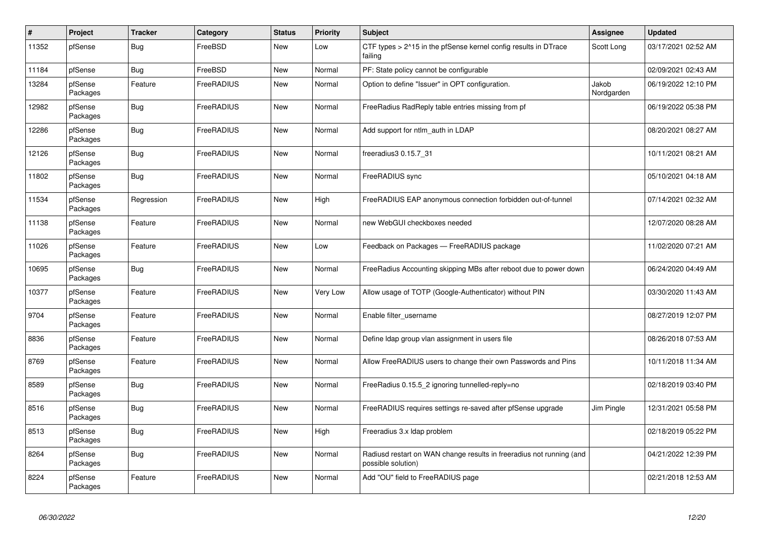| $\vert$ # | <b>Project</b>      | <b>Tracker</b> | Category          | <b>Status</b> | <b>Priority</b> | <b>Subject</b>                                                                             | Assignee            | <b>Updated</b>      |
|-----------|---------------------|----------------|-------------------|---------------|-----------------|--------------------------------------------------------------------------------------------|---------------------|---------------------|
| 11352     | pfSense             | Bug            | FreeBSD           | New           | Low             | CTF types > 2^15 in the pfSense kernel config results in DTrace<br>failing                 | Scott Long          | 03/17/2021 02:52 AM |
| 11184     | pfSense             | Bug            | FreeBSD           | <b>New</b>    | Normal          | PF: State policy cannot be configurable                                                    |                     | 02/09/2021 02:43 AM |
| 13284     | pfSense<br>Packages | Feature        | FreeRADIUS        | New           | Normal          | Option to define "Issuer" in OPT configuration.                                            | Jakob<br>Nordgarden | 06/19/2022 12:10 PM |
| 12982     | pfSense<br>Packages | Bug            | <b>FreeRADIUS</b> | <b>New</b>    | Normal          | FreeRadius RadReply table entries missing from pf                                          |                     | 06/19/2022 05:38 PM |
| 12286     | pfSense<br>Packages | <b>Bug</b>     | FreeRADIUS        | <b>New</b>    | Normal          | Add support for ntlm auth in LDAP                                                          |                     | 08/20/2021 08:27 AM |
| 12126     | pfSense<br>Packages | <b>Bug</b>     | FreeRADIUS        | New           | Normal          | freeradius3 0.15.7 31                                                                      |                     | 10/11/2021 08:21 AM |
| 11802     | pfSense<br>Packages | Bug            | <b>FreeRADIUS</b> | New           | Normal          | FreeRADIUS sync                                                                            |                     | 05/10/2021 04:18 AM |
| 11534     | pfSense<br>Packages | Regression     | FreeRADIUS        | <b>New</b>    | High            | FreeRADIUS EAP anonymous connection forbidden out-of-tunnel                                |                     | 07/14/2021 02:32 AM |
| 11138     | pfSense<br>Packages | Feature        | FreeRADIUS        | <b>New</b>    | Normal          | new WebGUI checkboxes needed                                                               |                     | 12/07/2020 08:28 AM |
| 11026     | pfSense<br>Packages | Feature        | FreeRADIUS        | New           | Low             | Feedback on Packages - FreeRADIUS package                                                  |                     | 11/02/2020 07:21 AM |
| 10695     | pfSense<br>Packages | <b>Bug</b>     | FreeRADIUS        | New           | Normal          | FreeRadius Accounting skipping MBs after reboot due to power down                          |                     | 06/24/2020 04:49 AM |
| 10377     | pfSense<br>Packages | Feature        | FreeRADIUS        | New           | Very Low        | Allow usage of TOTP (Google-Authenticator) without PIN                                     |                     | 03/30/2020 11:43 AM |
| 9704      | pfSense<br>Packages | Feature        | FreeRADIUS        | New           | Normal          | Enable filter username                                                                     |                     | 08/27/2019 12:07 PM |
| 8836      | pfSense<br>Packages | Feature        | FreeRADIUS        | <b>New</b>    | Normal          | Define Idap group vlan assignment in users file                                            |                     | 08/26/2018 07:53 AM |
| 8769      | pfSense<br>Packages | Feature        | <b>FreeRADIUS</b> | New           | Normal          | Allow FreeRADIUS users to change their own Passwords and Pins                              |                     | 10/11/2018 11:34 AM |
| 8589      | pfSense<br>Packages | Bug            | FreeRADIUS        | New           | Normal          | FreeRadius 0.15.5_2 ignoring tunnelled-reply=no                                            |                     | 02/18/2019 03:40 PM |
| 8516      | pfSense<br>Packages | Bug            | <b>FreeRADIUS</b> | <b>New</b>    | Normal          | FreeRADIUS requires settings re-saved after pfSense upgrade                                | Jim Pingle          | 12/31/2021 05:58 PM |
| 8513      | pfSense<br>Packages | <b>Bug</b>     | FreeRADIUS        | <b>New</b>    | High            | Freeradius 3.x Idap problem                                                                |                     | 02/18/2019 05:22 PM |
| 8264      | pfSense<br>Packages | <b>Bug</b>     | FreeRADIUS        | New           | Normal          | Radiusd restart on WAN change results in freeradius not running (and<br>possible solution) |                     | 04/21/2022 12:39 PM |
| 8224      | pfSense<br>Packages | Feature        | <b>FreeRADIUS</b> | <b>New</b>    | Normal          | Add "OU" field to FreeRADIUS page                                                          |                     | 02/21/2018 12:53 AM |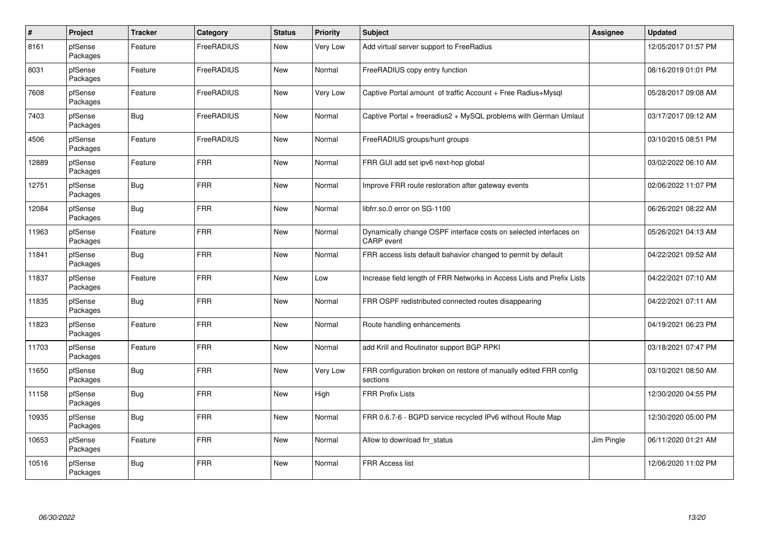| $\sharp$ | Project             | <b>Tracker</b> | Category          | <b>Status</b> | <b>Priority</b> | <b>Subject</b>                                                                  | <b>Assignee</b> | <b>Updated</b>      |
|----------|---------------------|----------------|-------------------|---------------|-----------------|---------------------------------------------------------------------------------|-----------------|---------------------|
| 8161     | pfSense<br>Packages | Feature        | FreeRADIUS        | <b>New</b>    | Very Low        | Add virtual server support to FreeRadius                                        |                 | 12/05/2017 01:57 PM |
| 8031     | pfSense<br>Packages | Feature        | FreeRADIUS        | <b>New</b>    | Normal          | FreeRADIUS copy entry function                                                  |                 | 08/16/2019 01:01 PM |
| 7608     | pfSense<br>Packages | Feature        | <b>FreeRADIUS</b> | <b>New</b>    | Very Low        | Captive Portal amount of traffic Account + Free Radius+Mysql                    |                 | 05/28/2017 09:08 AM |
| 7403     | pfSense<br>Packages | Bug            | <b>FreeRADIUS</b> | New           | Normal          | Captive Portal + freeradius2 + MySQL problems with German Umlaut                |                 | 03/17/2017 09:12 AM |
| 4506     | pfSense<br>Packages | Feature        | FreeRADIUS        | <b>New</b>    | Normal          | FreeRADIUS groups/hunt groups                                                   |                 | 03/10/2015 08:51 PM |
| 12889    | pfSense<br>Packages | Feature        | <b>FRR</b>        | <b>New</b>    | Normal          | FRR GUI add set ipv6 next-hop global                                            |                 | 03/02/2022 06:10 AM |
| 12751    | pfSense<br>Packages | <b>Bug</b>     | <b>FRR</b>        | <b>New</b>    | Normal          | Improve FRR route restoration after gateway events                              |                 | 02/06/2022 11:07 PM |
| 12084    | pfSense<br>Packages | Bug            | <b>FRR</b>        | <b>New</b>    | Normal          | libfrr.so.0 error on SG-1100                                                    |                 | 06/26/2021 08:22 AM |
| 11963    | pfSense<br>Packages | Feature        | <b>FRR</b>        | <b>New</b>    | Normal          | Dynamically change OSPF interface costs on selected interfaces on<br>CARP event |                 | 05/26/2021 04:13 AM |
| 11841    | pfSense<br>Packages | <b>Bug</b>     | <b>FRR</b>        | <b>New</b>    | Normal          | FRR access lists default bahavior changed to permit by default                  |                 | 04/22/2021 09:52 AM |
| 11837    | pfSense<br>Packages | Feature        | <b>FRR</b>        | New           | Low             | Increase field length of FRR Networks in Access Lists and Prefix Lists          |                 | 04/22/2021 07:10 AM |
| 11835    | pfSense<br>Packages | <b>Bug</b>     | <b>FRR</b>        | <b>New</b>    | Normal          | FRR OSPF redistributed connected routes disappearing                            |                 | 04/22/2021 07:11 AM |
| 11823    | pfSense<br>Packages | Feature        | <b>FRR</b>        | <b>New</b>    | Normal          | Route handling enhancements                                                     |                 | 04/19/2021 06:23 PM |
| 11703    | pfSense<br>Packages | Feature        | <b>FRR</b>        | <b>New</b>    | Normal          | add Krill and Routinator support BGP RPKI                                       |                 | 03/18/2021 07:47 PM |
| 11650    | pfSense<br>Packages | <b>Bug</b>     | <b>FRR</b>        | <b>New</b>    | Very Low        | FRR configuration broken on restore of manually edited FRR config<br>sections   |                 | 03/10/2021 08:50 AM |
| 11158    | pfSense<br>Packages | <b>Bug</b>     | <b>FRR</b>        | New           | High            | <b>FRR Prefix Lists</b>                                                         |                 | 12/30/2020 04:55 PM |
| 10935    | pfSense<br>Packages | <b>Bug</b>     | <b>FRR</b>        | <b>New</b>    | Normal          | FRR 0.6.7-6 - BGPD service recycled IPv6 without Route Map                      |                 | 12/30/2020 05:00 PM |
| 10653    | pfSense<br>Packages | Feature        | <b>FRR</b>        | <b>New</b>    | Normal          | Allow to download frr status                                                    | Jim Pingle      | 06/11/2020 01:21 AM |
| 10516    | pfSense<br>Packages | Bug            | <b>FRR</b>        | <b>New</b>    | Normal          | <b>FRR Access list</b>                                                          |                 | 12/06/2020 11:02 PM |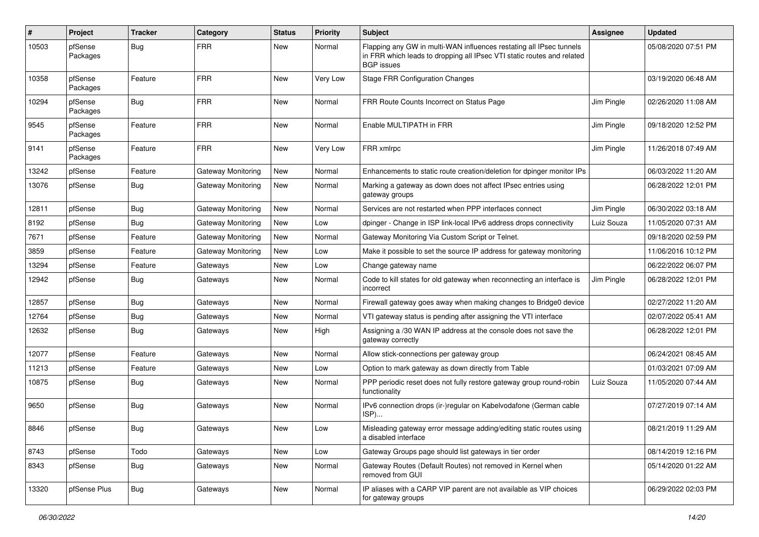| #     | Project             | <b>Tracker</b> | Category           | <b>Status</b> | <b>Priority</b> | <b>Subject</b>                                                                                                                                                     | Assignee   | <b>Updated</b>      |
|-------|---------------------|----------------|--------------------|---------------|-----------------|--------------------------------------------------------------------------------------------------------------------------------------------------------------------|------------|---------------------|
| 10503 | pfSense<br>Packages | Bug            | <b>FRR</b>         | <b>New</b>    | Normal          | Flapping any GW in multi-WAN influences restating all IPsec tunnels<br>in FRR which leads to dropping all IPsec VTI static routes and related<br><b>BGP</b> issues |            | 05/08/2020 07:51 PM |
| 10358 | pfSense<br>Packages | Feature        | <b>FRR</b>         | New           | Very Low        | <b>Stage FRR Configuration Changes</b>                                                                                                                             |            | 03/19/2020 06:48 AM |
| 10294 | pfSense<br>Packages | Bug            | <b>FRR</b>         | New           | Normal          | FRR Route Counts Incorrect on Status Page                                                                                                                          | Jim Pingle | 02/26/2020 11:08 AM |
| 9545  | pfSense<br>Packages | Feature        | <b>FRR</b>         | <b>New</b>    | Normal          | Enable MULTIPATH in FRR                                                                                                                                            | Jim Pingle | 09/18/2020 12:52 PM |
| 9141  | pfSense<br>Packages | Feature        | <b>FRR</b>         | New           | Very Low        | FRR xmlrpc                                                                                                                                                         | Jim Pingle | 11/26/2018 07:49 AM |
| 13242 | pfSense             | Feature        | Gateway Monitoring | New           | Normal          | Enhancements to static route creation/deletion for dpinger monitor IPs                                                                                             |            | 06/03/2022 11:20 AM |
| 13076 | pfSense             | <b>Bug</b>     | Gateway Monitoring | New           | Normal          | Marking a gateway as down does not affect IPsec entries using<br>gateway groups                                                                                    |            | 06/28/2022 12:01 PM |
| 12811 | pfSense             | <b>Bug</b>     | Gateway Monitoring | New           | Normal          | Services are not restarted when PPP interfaces connect                                                                                                             | Jim Pingle | 06/30/2022 03:18 AM |
| 8192  | pfSense             | <b>Bug</b>     | Gateway Monitoring | New           | Low             | dpinger - Change in ISP link-local IPv6 address drops connectivity                                                                                                 | Luiz Souza | 11/05/2020 07:31 AM |
| 7671  | pfSense             | Feature        | Gateway Monitoring | New           | Normal          | Gateway Monitoring Via Custom Script or Telnet.                                                                                                                    |            | 09/18/2020 02:59 PM |
| 3859  | pfSense             | Feature        | Gateway Monitoring | New           | Low             | Make it possible to set the source IP address for gateway monitoring                                                                                               |            | 11/06/2016 10:12 PM |
| 13294 | pfSense             | Feature        | Gateways           | New           | Low             | Change gateway name                                                                                                                                                |            | 06/22/2022 06:07 PM |
| 12942 | pfSense             | Bug            | Gateways           | New           | Normal          | Code to kill states for old gateway when reconnecting an interface is<br>incorrect                                                                                 | Jim Pingle | 06/28/2022 12:01 PM |
| 12857 | pfSense             | Bug            | Gateways           | New           | Normal          | Firewall gateway goes away when making changes to Bridge0 device                                                                                                   |            | 02/27/2022 11:20 AM |
| 12764 | pfSense             | Bug            | Gateways           | New           | Normal          | VTI gateway status is pending after assigning the VTI interface                                                                                                    |            | 02/07/2022 05:41 AM |
| 12632 | pfSense             | Bug            | Gateways           | New           | High            | Assigning a /30 WAN IP address at the console does not save the<br>gateway correctly                                                                               |            | 06/28/2022 12:01 PM |
| 12077 | pfSense             | Feature        | Gateways           | New           | Normal          | Allow stick-connections per gateway group                                                                                                                          |            | 06/24/2021 08:45 AM |
| 11213 | pfSense             | Feature        | Gateways           | New           | Low             | Option to mark gateway as down directly from Table                                                                                                                 |            | 01/03/2021 07:09 AM |
| 10875 | pfSense             | Bug            | Gateways           | New           | Normal          | PPP periodic reset does not fully restore gateway group round-robin<br>functionality                                                                               | Luiz Souza | 11/05/2020 07:44 AM |
| 9650  | pfSense             | Bug            | Gateways           | New           | Normal          | IPv6 connection drops (ir-)regular on Kabelvodafone (German cable<br>$ISP)$                                                                                        |            | 07/27/2019 07:14 AM |
| 8846  | pfSense             | <b>Bug</b>     | Gateways           | New           | Low             | Misleading gateway error message adding/editing static routes using<br>a disabled interface                                                                        |            | 08/21/2019 11:29 AM |
| 8743  | pfSense             | Todo           | Gateways           | New           | Low             | Gateway Groups page should list gateways in tier order                                                                                                             |            | 08/14/2019 12:16 PM |
| 8343  | pfSense             | <b>Bug</b>     | Gateways           | New           | Normal          | Gateway Routes (Default Routes) not removed in Kernel when<br>removed from GUI                                                                                     |            | 05/14/2020 01:22 AM |
| 13320 | pfSense Plus        | <b>Bug</b>     | Gateways           | New           | Normal          | IP aliases with a CARP VIP parent are not available as VIP choices<br>for gateway groups                                                                           |            | 06/29/2022 02:03 PM |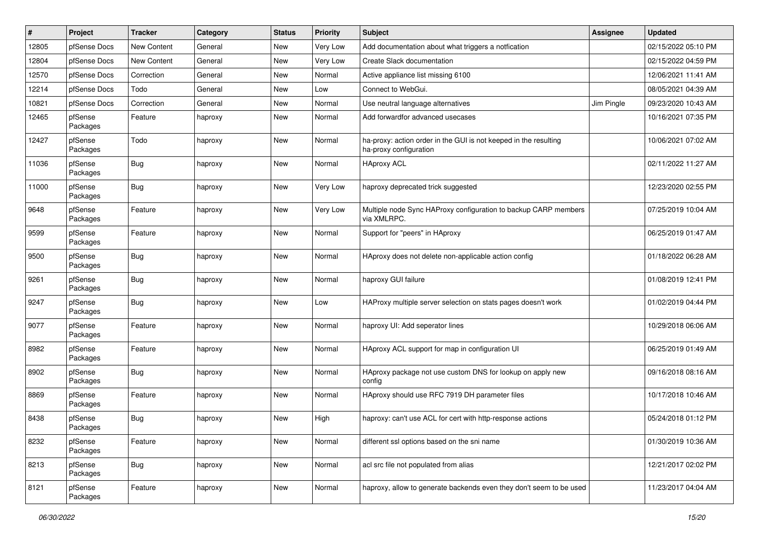| #     | Project             | <b>Tracker</b>     | Category | <b>Status</b> | <b>Priority</b> | <b>Subject</b>                                                                             | Assignee   | <b>Updated</b>      |
|-------|---------------------|--------------------|----------|---------------|-----------------|--------------------------------------------------------------------------------------------|------------|---------------------|
| 12805 | pfSense Docs        | <b>New Content</b> | General  | New           | Very Low        | Add documentation about what triggers a notfication                                        |            | 02/15/2022 05:10 PM |
| 12804 | pfSense Docs        | <b>New Content</b> | General  | New           | Very Low        | Create Slack documentation                                                                 |            | 02/15/2022 04:59 PM |
| 12570 | pfSense Docs        | Correction         | General  | New           | Normal          | Active appliance list missing 6100                                                         |            | 12/06/2021 11:41 AM |
| 12214 | pfSense Docs        | Todo               | General  | New           | Low             | Connect to WebGui.                                                                         |            | 08/05/2021 04:39 AM |
| 10821 | pfSense Docs        | Correction         | General  | <b>New</b>    | Normal          | Use neutral language alternatives                                                          | Jim Pingle | 09/23/2020 10:43 AM |
| 12465 | pfSense<br>Packages | Feature            | haproxy  | New           | Normal          | Add forwardfor advanced usecases                                                           |            | 10/16/2021 07:35 PM |
| 12427 | pfSense<br>Packages | Todo               | haproxy  | New           | Normal          | ha-proxy: action order in the GUI is not keeped in the resulting<br>ha-proxy configuration |            | 10/06/2021 07:02 AM |
| 11036 | pfSense<br>Packages | Bug                | haproxy  | New           | Normal          | <b>HAproxy ACL</b>                                                                         |            | 02/11/2022 11:27 AM |
| 11000 | pfSense<br>Packages | Bug                | haproxy  | New           | Very Low        | haproxy deprecated trick suggested                                                         |            | 12/23/2020 02:55 PM |
| 9648  | pfSense<br>Packages | Feature            | haproxy  | <b>New</b>    | Very Low        | Multiple node Sync HAProxy configuration to backup CARP members<br>via XMLRPC.             |            | 07/25/2019 10:04 AM |
| 9599  | pfSense<br>Packages | Feature            | haproxy  | <b>New</b>    | Normal          | Support for "peers" in HAproxy                                                             |            | 06/25/2019 01:47 AM |
| 9500  | pfSense<br>Packages | Bug                | haproxy  | <b>New</b>    | Normal          | HAproxy does not delete non-applicable action config                                       |            | 01/18/2022 06:28 AM |
| 9261  | pfSense<br>Packages | Bug                | haproxy  | <b>New</b>    | Normal          | haproxy GUI failure                                                                        |            | 01/08/2019 12:41 PM |
| 9247  | pfSense<br>Packages | <b>Bug</b>         | haproxy  | New           | Low             | HAProxy multiple server selection on stats pages doesn't work                              |            | 01/02/2019 04:44 PM |
| 9077  | pfSense<br>Packages | Feature            | haproxy  | New           | Normal          | haproxy UI: Add seperator lines                                                            |            | 10/29/2018 06:06 AM |
| 8982  | pfSense<br>Packages | Feature            | haproxy  | <b>New</b>    | Normal          | HAproxy ACL support for map in configuration UI                                            |            | 06/25/2019 01:49 AM |
| 8902  | pfSense<br>Packages | Bug                | haproxy  | <b>New</b>    | Normal          | HAproxy package not use custom DNS for lookup on apply new<br>config                       |            | 09/16/2018 08:16 AM |
| 8869  | pfSense<br>Packages | Feature            | haproxy  | New           | Normal          | HAproxy should use RFC 7919 DH parameter files                                             |            | 10/17/2018 10:46 AM |
| 8438  | pfSense<br>Packages | Bug                | haproxy  | New           | High            | haproxy: can't use ACL for cert with http-response actions                                 |            | 05/24/2018 01:12 PM |
| 8232  | pfSense<br>Packages | Feature            | haproxy  | New           | Normal          | different ssl options based on the sni name                                                |            | 01/30/2019 10:36 AM |
| 8213  | pfSense<br>Packages | <b>Bug</b>         | haproxy  | New           | Normal          | acl src file not populated from alias                                                      |            | 12/21/2017 02:02 PM |
| 8121  | pfSense<br>Packages | Feature            | haproxy  | New           | Normal          | haproxy, allow to generate backends even they don't seem to be used                        |            | 11/23/2017 04:04 AM |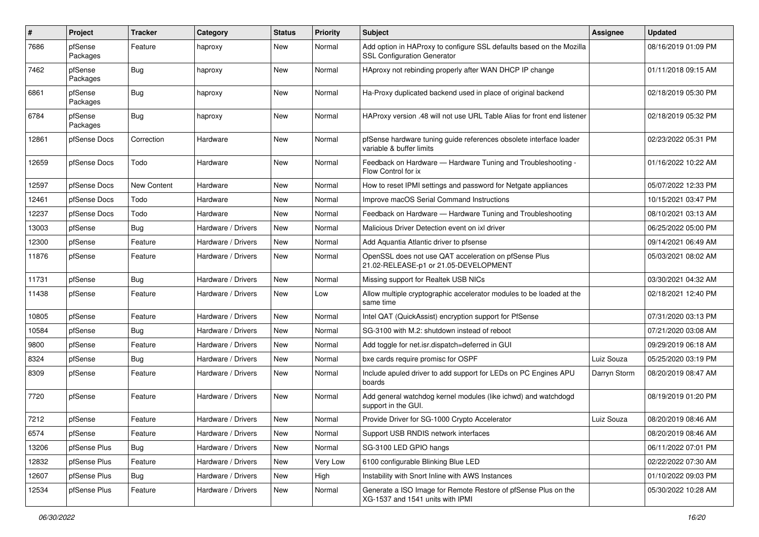| #     | Project             | <b>Tracker</b> | Category           | <b>Status</b> | <b>Priority</b> | <b>Subject</b>                                                                                             | Assignee     | <b>Updated</b>      |
|-------|---------------------|----------------|--------------------|---------------|-----------------|------------------------------------------------------------------------------------------------------------|--------------|---------------------|
| 7686  | pfSense<br>Packages | Feature        | haproxy            | New           | Normal          | Add option in HAProxy to configure SSL defaults based on the Mozilla<br><b>SSL Configuration Generator</b> |              | 08/16/2019 01:09 PM |
| 7462  | pfSense<br>Packages | <b>Bug</b>     | haproxy            | New           | Normal          | HAproxy not rebinding properly after WAN DHCP IP change                                                    |              | 01/11/2018 09:15 AM |
| 6861  | pfSense<br>Packages | <b>Bug</b>     | haproxy            | <b>New</b>    | Normal          | Ha-Proxy duplicated backend used in place of original backend                                              |              | 02/18/2019 05:30 PM |
| 6784  | pfSense<br>Packages | <b>Bug</b>     | haproxy            | New           | Normal          | HAProxy version .48 will not use URL Table Alias for front end listener                                    |              | 02/18/2019 05:32 PM |
| 12861 | pfSense Docs        | Correction     | Hardware           | <b>New</b>    | Normal          | pfSense hardware tuning guide references obsolete interface loader<br>variable & buffer limits             |              | 02/23/2022 05:31 PM |
| 12659 | pfSense Docs        | Todo           | Hardware           | New           | Normal          | Feedback on Hardware - Hardware Tuning and Troubleshooting -<br>Flow Control for ix                        |              | 01/16/2022 10:22 AM |
| 12597 | pfSense Docs        | New Content    | Hardware           | New           | Normal          | How to reset IPMI settings and password for Netgate appliances                                             |              | 05/07/2022 12:33 PM |
| 12461 | pfSense Docs        | Todo           | Hardware           | New           | Normal          | Improve macOS Serial Command Instructions                                                                  |              | 10/15/2021 03:47 PM |
| 12237 | pfSense Docs        | Todo           | Hardware           | New           | Normal          | Feedback on Hardware - Hardware Tuning and Troubleshooting                                                 |              | 08/10/2021 03:13 AM |
| 13003 | pfSense             | <b>Bug</b>     | Hardware / Drivers | New           | Normal          | Malicious Driver Detection event on ixl driver                                                             |              | 06/25/2022 05:00 PM |
| 12300 | pfSense             | Feature        | Hardware / Drivers | New           | Normal          | Add Aquantia Atlantic driver to pfsense                                                                    |              | 09/14/2021 06:49 AM |
| 11876 | pfSense             | Feature        | Hardware / Drivers | New           | Normal          | OpenSSL does not use QAT acceleration on pfSense Plus<br>21.02-RELEASE-p1 or 21.05-DEVELOPMENT             |              | 05/03/2021 08:02 AM |
| 11731 | pfSense             | Bug            | Hardware / Drivers | New           | Normal          | Missing support for Realtek USB NICs                                                                       |              | 03/30/2021 04:32 AM |
| 11438 | pfSense             | Feature        | Hardware / Drivers | New           | Low             | Allow multiple cryptographic accelerator modules to be loaded at the<br>same time                          |              | 02/18/2021 12:40 PM |
| 10805 | pfSense             | Feature        | Hardware / Drivers | <b>New</b>    | Normal          | Intel QAT (QuickAssist) encryption support for PfSense                                                     |              | 07/31/2020 03:13 PM |
| 10584 | pfSense             | Bug            | Hardware / Drivers | New           | Normal          | SG-3100 with M.2: shutdown instead of reboot                                                               |              | 07/21/2020 03:08 AM |
| 9800  | pfSense             | Feature        | Hardware / Drivers | New           | Normal          | Add toggle for net.isr.dispatch=deferred in GUI                                                            |              | 09/29/2019 06:18 AM |
| 8324  | pfSense             | Bug            | Hardware / Drivers | New           | Normal          | bxe cards require promisc for OSPF                                                                         | Luiz Souza   | 05/25/2020 03:19 PM |
| 8309  | pfSense             | Feature        | Hardware / Drivers | New           | Normal          | Include apuled driver to add support for LEDs on PC Engines APU<br>boards                                  | Darryn Storm | 08/20/2019 08:47 AM |
| 7720  | pfSense             | Feature        | Hardware / Drivers | New           | Normal          | Add general watchdog kernel modules (like ichwd) and watchdogd<br>support in the GUI.                      |              | 08/19/2019 01:20 PM |
| 7212  | pfSense             | Feature        | Hardware / Drivers | New           | Normal          | Provide Driver for SG-1000 Crypto Accelerator                                                              | Luiz Souza   | 08/20/2019 08:46 AM |
| 6574  | pfSense             | Feature        | Hardware / Drivers | New           | Normal          | Support USB RNDIS network interfaces                                                                       |              | 08/20/2019 08:46 AM |
| 13206 | pfSense Plus        | Bug            | Hardware / Drivers | New           | Normal          | SG-3100 LED GPIO hangs                                                                                     |              | 06/11/2022 07:01 PM |
| 12832 | pfSense Plus        | Feature        | Hardware / Drivers | New           | Very Low        | 6100 configurable Blinking Blue LED                                                                        |              | 02/22/2022 07:30 AM |
| 12607 | pfSense Plus        | <b>Bug</b>     | Hardware / Drivers | New           | High            | Instability with Snort Inline with AWS Instances                                                           |              | 01/10/2022 09:03 PM |
| 12534 | pfSense Plus        | Feature        | Hardware / Drivers | New           | Normal          | Generate a ISO Image for Remote Restore of pfSense Plus on the<br>XG-1537 and 1541 units with IPMI         |              | 05/30/2022 10:28 AM |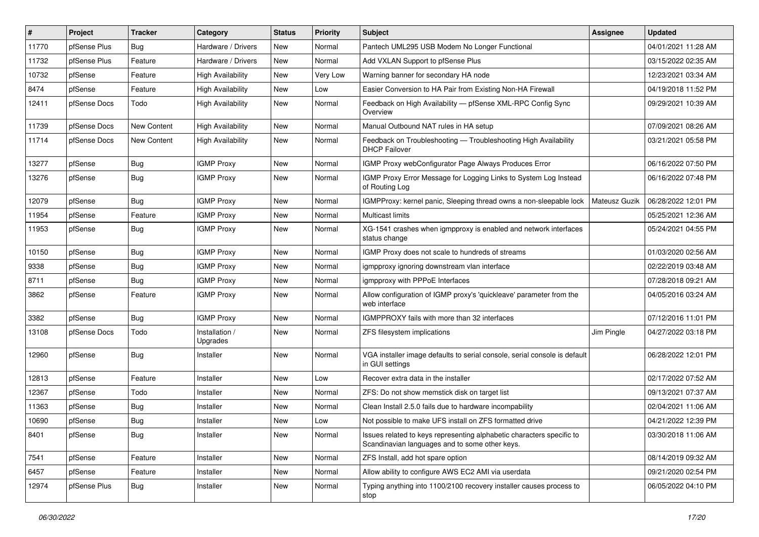| #     | Project      | <b>Tracker</b> | Category                   | <b>Status</b> | <b>Priority</b> | <b>Subject</b>                                                                                                          | <b>Assignee</b> | <b>Updated</b>      |
|-------|--------------|----------------|----------------------------|---------------|-----------------|-------------------------------------------------------------------------------------------------------------------------|-----------------|---------------------|
| 11770 | pfSense Plus | Bug            | Hardware / Drivers         | New           | Normal          | Pantech UML295 USB Modem No Longer Functional                                                                           |                 | 04/01/2021 11:28 AM |
| 11732 | pfSense Plus | Feature        | Hardware / Drivers         | New           | Normal          | Add VXLAN Support to pfSense Plus                                                                                       |                 | 03/15/2022 02:35 AM |
| 10732 | pfSense      | Feature        | <b>High Availability</b>   | New           | Very Low        | Warning banner for secondary HA node                                                                                    |                 | 12/23/2021 03:34 AM |
| 8474  | pfSense      | Feature        | <b>High Availability</b>   | New           | Low             | Easier Conversion to HA Pair from Existing Non-HA Firewall                                                              |                 | 04/19/2018 11:52 PM |
| 12411 | pfSense Docs | Todo           | <b>High Availability</b>   | New           | Normal          | Feedback on High Availability - pfSense XML-RPC Config Sync<br>Overview                                                 |                 | 09/29/2021 10:39 AM |
| 11739 | pfSense Docs | New Content    | <b>High Availability</b>   | New           | Normal          | Manual Outbound NAT rules in HA setup                                                                                   |                 | 07/09/2021 08:26 AM |
| 11714 | pfSense Docs | New Content    | <b>High Availability</b>   | New           | Normal          | Feedback on Troubleshooting - Troubleshooting High Availability<br><b>DHCP Failover</b>                                 |                 | 03/21/2021 05:58 PM |
| 13277 | pfSense      | Bug            | <b>IGMP Proxy</b>          | New           | Normal          | IGMP Proxy webConfigurator Page Always Produces Error                                                                   |                 | 06/16/2022 07:50 PM |
| 13276 | pfSense      | Bug            | <b>IGMP Proxy</b>          | New           | Normal          | IGMP Proxy Error Message for Logging Links to System Log Instead<br>of Routing Log                                      |                 | 06/16/2022 07:48 PM |
| 12079 | pfSense      | Bug            | <b>IGMP Proxy</b>          | New           | Normal          | IGMPProxy: kernel panic, Sleeping thread owns a non-sleepable lock                                                      | Mateusz Guzik   | 06/28/2022 12:01 PM |
| 11954 | pfSense      | Feature        | <b>IGMP Proxy</b>          | New           | Normal          | <b>Multicast limits</b>                                                                                                 |                 | 05/25/2021 12:36 AM |
| 11953 | pfSense      | <b>Bug</b>     | <b>IGMP Proxy</b>          | New           | Normal          | XG-1541 crashes when igmpproxy is enabled and network interfaces<br>status change                                       |                 | 05/24/2021 04:55 PM |
| 10150 | pfSense      | <b>Bug</b>     | <b>IGMP Proxy</b>          | New           | Normal          | IGMP Proxy does not scale to hundreds of streams                                                                        |                 | 01/03/2020 02:56 AM |
| 9338  | pfSense      | Bug            | <b>IGMP Proxy</b>          | New           | Normal          | igmpproxy ignoring downstream vlan interface                                                                            |                 | 02/22/2019 03:48 AM |
| 8711  | pfSense      | <b>Bug</b>     | <b>IGMP Proxy</b>          | New           | Normal          | igmpproxy with PPPoE Interfaces                                                                                         |                 | 07/28/2018 09:21 AM |
| 3862  | pfSense      | Feature        | <b>IGMP Proxy</b>          | New           | Normal          | Allow configuration of IGMP proxy's 'quickleave' parameter from the<br>web interface                                    |                 | 04/05/2016 03:24 AM |
| 3382  | pfSense      | Bug            | <b>IGMP Proxy</b>          | New           | Normal          | IGMPPROXY fails with more than 32 interfaces                                                                            |                 | 07/12/2016 11:01 PM |
| 13108 | pfSense Docs | Todo           | Installation /<br>Upgrades | New           | Normal          | <b>ZFS filesystem implications</b>                                                                                      | Jim Pingle      | 04/27/2022 03:18 PM |
| 12960 | pfSense      | <b>Bug</b>     | Installer                  | New           | Normal          | VGA installer image defaults to serial console, serial console is default<br>in GUI settings                            |                 | 06/28/2022 12:01 PM |
| 12813 | pfSense      | Feature        | Installer                  | <b>New</b>    | Low             | Recover extra data in the installer                                                                                     |                 | 02/17/2022 07:52 AM |
| 12367 | pfSense      | Todo           | Installer                  | New           | Normal          | ZFS: Do not show memstick disk on target list                                                                           |                 | 09/13/2021 07:37 AM |
| 11363 | pfSense      | <b>Bug</b>     | Installer                  | New           | Normal          | Clean Install 2.5.0 fails due to hardware incompability                                                                 |                 | 02/04/2021 11:06 AM |
| 10690 | pfSense      | <b>Bug</b>     | Installer                  | New           | Low             | Not possible to make UFS install on ZFS formatted drive                                                                 |                 | 04/21/2022 12:39 PM |
| 8401  | pfSense      | Bug            | Installer                  | New           | Normal          | Issues related to keys representing alphabetic characters specific to<br>Scandinavian languages and to some other keys. |                 | 03/30/2018 11:06 AM |
| 7541  | pfSense      | Feature        | Installer                  | New           | Normal          | ZFS Install, add hot spare option                                                                                       |                 | 08/14/2019 09:32 AM |
| 6457  | pfSense      | Feature        | Installer                  | New           | Normal          | Allow ability to configure AWS EC2 AMI via userdata                                                                     |                 | 09/21/2020 02:54 PM |
| 12974 | pfSense Plus | <b>Bug</b>     | Installer                  | New           | Normal          | Typing anything into 1100/2100 recovery installer causes process to<br>stop                                             |                 | 06/05/2022 04:10 PM |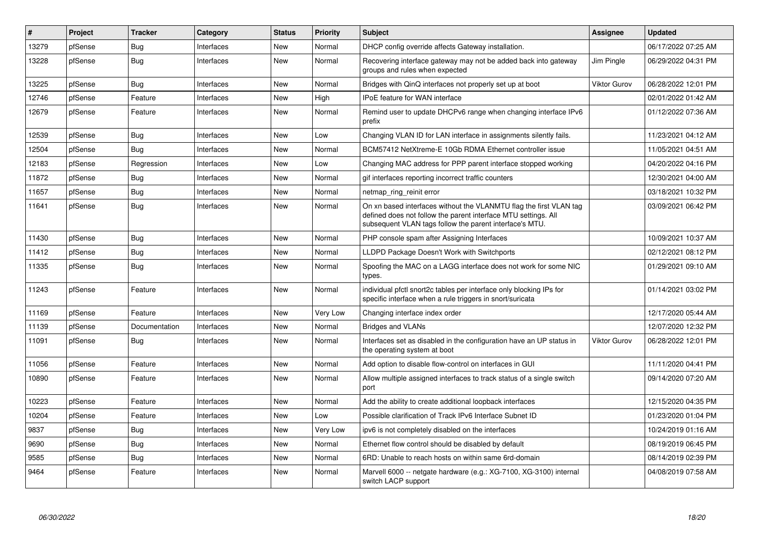| $\#$  | Project | <b>Tracker</b> | Category   | <b>Status</b> | <b>Priority</b> | <b>Subject</b>                                                                                                                                                                                  | Assignee     | <b>Updated</b>      |
|-------|---------|----------------|------------|---------------|-----------------|-------------------------------------------------------------------------------------------------------------------------------------------------------------------------------------------------|--------------|---------------------|
| 13279 | pfSense | Bug            | Interfaces | <b>New</b>    | Normal          | DHCP config override affects Gateway installation.                                                                                                                                              |              | 06/17/2022 07:25 AM |
| 13228 | pfSense | <b>Bug</b>     | Interfaces | <b>New</b>    | Normal          | Recovering interface gateway may not be added back into gateway<br>groups and rules when expected                                                                                               | Jim Pingle   | 06/29/2022 04:31 PM |
| 13225 | pfSense | Bug            | Interfaces | <b>New</b>    | Normal          | Bridges with QinQ interfaces not properly set up at boot                                                                                                                                        | Viktor Gurov | 06/28/2022 12:01 PM |
| 12746 | pfSense | Feature        | Interfaces | <b>New</b>    | High            | <b>IPoE</b> feature for WAN interface                                                                                                                                                           |              | 02/01/2022 01:42 AM |
| 12679 | pfSense | Feature        | Interfaces | New           | Normal          | Remind user to update DHCPv6 range when changing interface IPv6<br>prefix                                                                                                                       |              | 01/12/2022 07:36 AM |
| 12539 | pfSense | <b>Bug</b>     | Interfaces | <b>New</b>    | Low             | Changing VLAN ID for LAN interface in assignments silently fails.                                                                                                                               |              | 11/23/2021 04:12 AM |
| 12504 | pfSense | Bug            | Interfaces | New           | Normal          | BCM57412 NetXtreme-E 10Gb RDMA Ethernet controller issue                                                                                                                                        |              | 11/05/2021 04:51 AM |
| 12183 | pfSense | Regression     | Interfaces | New           | Low             | Changing MAC address for PPP parent interface stopped working                                                                                                                                   |              | 04/20/2022 04:16 PM |
| 11872 | pfSense | <b>Bug</b>     | Interfaces | New           | Normal          | gif interfaces reporting incorrect traffic counters                                                                                                                                             |              | 12/30/2021 04:00 AM |
| 11657 | pfSense | <b>Bug</b>     | Interfaces | New           | Normal          | netmap_ring_reinit error                                                                                                                                                                        |              | 03/18/2021 10:32 PM |
| 11641 | pfSense | <b>Bug</b>     | Interfaces | New           | Normal          | On xn based interfaces without the VLANMTU flag the first VLAN tag<br>defined does not follow the parent interface MTU settings. All<br>subsequent VLAN tags follow the parent interface's MTU. |              | 03/09/2021 06:42 PM |
| 11430 | pfSense | Bug            | Interfaces | New           | Normal          | PHP console spam after Assigning Interfaces                                                                                                                                                     |              | 10/09/2021 10:37 AM |
| 11412 | pfSense | <b>Bug</b>     | Interfaces | New           | Normal          | LLDPD Package Doesn't Work with Switchports                                                                                                                                                     |              | 02/12/2021 08:12 PM |
| 11335 | pfSense | <b>Bug</b>     | Interfaces | <b>New</b>    | Normal          | Spoofing the MAC on a LAGG interface does not work for some NIC<br>types.                                                                                                                       |              | 01/29/2021 09:10 AM |
| 11243 | pfSense | Feature        | Interfaces | New           | Normal          | individual pfctl snort2c tables per interface only blocking IPs for<br>specific interface when a rule triggers in snort/suricata                                                                |              | 01/14/2021 03:02 PM |
| 11169 | pfSense | Feature        | Interfaces | New           | Very Low        | Changing interface index order                                                                                                                                                                  |              | 12/17/2020 05:44 AM |
| 11139 | pfSense | Documentation  | Interfaces | <b>New</b>    | Normal          | <b>Bridges and VLANs</b>                                                                                                                                                                        |              | 12/07/2020 12:32 PM |
| 11091 | pfSense | <b>Bug</b>     | Interfaces | New           | Normal          | Interfaces set as disabled in the configuration have an UP status in<br>the operating system at boot                                                                                            | Viktor Gurov | 06/28/2022 12:01 PM |
| 11056 | pfSense | Feature        | Interfaces | <b>New</b>    | Normal          | Add option to disable flow-control on interfaces in GUI                                                                                                                                         |              | 11/11/2020 04:41 PM |
| 10890 | pfSense | Feature        | Interfaces | <b>New</b>    | Normal          | Allow multiple assigned interfaces to track status of a single switch<br>port                                                                                                                   |              | 09/14/2020 07:20 AM |
| 10223 | pfSense | Feature        | Interfaces | <b>New</b>    | Normal          | Add the ability to create additional loopback interfaces                                                                                                                                        |              | 12/15/2020 04:35 PM |
| 10204 | pfSense | Feature        | Interfaces | New           | Low             | Possible clarification of Track IPv6 Interface Subnet ID                                                                                                                                        |              | 01/23/2020 01:04 PM |
| 9837  | pfSense | <b>Bug</b>     | Interfaces | New           | Very Low        | ipv6 is not completely disabled on the interfaces                                                                                                                                               |              | 10/24/2019 01:16 AM |
| 9690  | pfSense | Bug            | Interfaces | New           | Normal          | Ethernet flow control should be disabled by default                                                                                                                                             |              | 08/19/2019 06:45 PM |
| 9585  | pfSense | Bug            | Interfaces | New           | Normal          | 6RD: Unable to reach hosts on within same 6rd-domain                                                                                                                                            |              | 08/14/2019 02:39 PM |
| 9464  | pfSense | Feature        | Interfaces | New           | Normal          | Marvell 6000 -- netgate hardware (e.g.: XG-7100, XG-3100) internal<br>switch LACP support                                                                                                       |              | 04/08/2019 07:58 AM |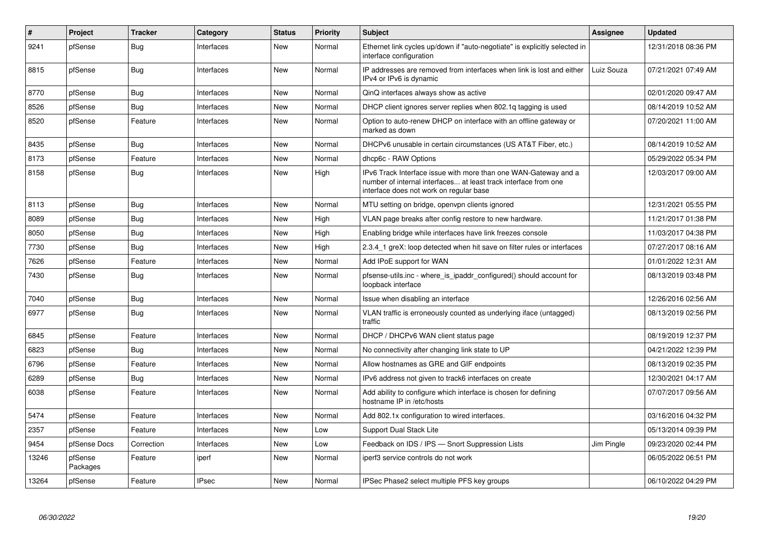| $\vert$ # | Project             | <b>Tracker</b> | Category     | <b>Status</b> | <b>Priority</b> | <b>Subject</b>                                                                                                                                                                | Assignee   | <b>Updated</b>      |
|-----------|---------------------|----------------|--------------|---------------|-----------------|-------------------------------------------------------------------------------------------------------------------------------------------------------------------------------|------------|---------------------|
| 9241      | pfSense             | Bug            | Interfaces   | <b>New</b>    | Normal          | Ethernet link cycles up/down if "auto-negotiate" is explicitly selected in<br>interface configuration                                                                         |            | 12/31/2018 08:36 PM |
| 8815      | pfSense             | <b>Bug</b>     | Interfaces   | New           | Normal          | IP addresses are removed from interfaces when link is lost and either<br>IPv4 or IPv6 is dynamic                                                                              | Luiz Souza | 07/21/2021 07:49 AM |
| 8770      | pfSense             | Bug            | Interfaces   | New           | Normal          | QinQ interfaces always show as active                                                                                                                                         |            | 02/01/2020 09:47 AM |
| 8526      | pfSense             | Bug            | Interfaces   | New           | Normal          | DHCP client ignores server replies when 802.1q tagging is used                                                                                                                |            | 08/14/2019 10:52 AM |
| 8520      | pfSense             | Feature        | Interfaces   | <b>New</b>    | Normal          | Option to auto-renew DHCP on interface with an offline gateway or<br>marked as down                                                                                           |            | 07/20/2021 11:00 AM |
| 8435      | pfSense             | Bug            | Interfaces   | New           | Normal          | DHCPv6 unusable in certain circumstances (US AT&T Fiber, etc.)                                                                                                                |            | 08/14/2019 10:52 AM |
| 8173      | pfSense             | Feature        | Interfaces   | <b>New</b>    | Normal          | dhcp6c - RAW Options                                                                                                                                                          |            | 05/29/2022 05:34 PM |
| 8158      | pfSense             | <b>Bug</b>     | Interfaces   | New           | High            | IPv6 Track Interface issue with more than one WAN-Gateway and a<br>number of internal interfaces at least track interface from one<br>interface does not work on regular base |            | 12/03/2017 09:00 AM |
| 8113      | pfSense             | Bug            | Interfaces   | <b>New</b>    | Normal          | MTU setting on bridge, openypn clients ignored                                                                                                                                |            | 12/31/2021 05:55 PM |
| 8089      | pfSense             | Bug            | Interfaces   | New           | High            | VLAN page breaks after config restore to new hardware.                                                                                                                        |            | 11/21/2017 01:38 PM |
| 8050      | pfSense             | <b>Bug</b>     | Interfaces   | <b>New</b>    | High            | Enabling bridge while interfaces have link freezes console                                                                                                                    |            | 11/03/2017 04:38 PM |
| 7730      | pfSense             | Bug            | Interfaces   | New           | High            | 2.3.4 1 greX: loop detected when hit save on filter rules or interfaces                                                                                                       |            | 07/27/2017 08:16 AM |
| 7626      | pfSense             | Feature        | Interfaces   | New           | Normal          | Add IPoE support for WAN                                                                                                                                                      |            | 01/01/2022 12:31 AM |
| 7430      | pfSense             | <b>Bug</b>     | Interfaces   | New           | Normal          | pfsense-utils.inc - where_is_ipaddr_configured() should account for<br>loopback interface                                                                                     |            | 08/13/2019 03:48 PM |
| 7040      | pfSense             | Bug            | Interfaces   | New           | Normal          | Issue when disabling an interface                                                                                                                                             |            | 12/26/2016 02:56 AM |
| 6977      | pfSense             | <b>Bug</b>     | Interfaces   | New           | Normal          | VLAN traffic is erroneously counted as underlying iface (untagged)<br>traffic                                                                                                 |            | 08/13/2019 02:56 PM |
| 6845      | pfSense             | Feature        | Interfaces   | New           | Normal          | DHCP / DHCPv6 WAN client status page                                                                                                                                          |            | 08/19/2019 12:37 PM |
| 6823      | pfSense             | <b>Bug</b>     | Interfaces   | New           | Normal          | No connectivity after changing link state to UP                                                                                                                               |            | 04/21/2022 12:39 PM |
| 6796      | pfSense             | Feature        | Interfaces   | New           | Normal          | Allow hostnames as GRE and GIF endpoints                                                                                                                                      |            | 08/13/2019 02:35 PM |
| 6289      | pfSense             | Bug            | Interfaces   | New           | Normal          | IPv6 address not given to track6 interfaces on create                                                                                                                         |            | 12/30/2021 04:17 AM |
| 6038      | pfSense             | Feature        | Interfaces   | <b>New</b>    | Normal          | Add ability to configure which interface is chosen for defining<br>hostname IP in /etc/hosts                                                                                  |            | 07/07/2017 09:56 AM |
| 5474      | pfSense             | Feature        | Interfaces   | <b>New</b>    | Normal          | Add 802.1x configuration to wired interfaces.                                                                                                                                 |            | 03/16/2016 04:32 PM |
| 2357      | pfSense             | Feature        | Interfaces   | <b>New</b>    | Low             | Support Dual Stack Lite                                                                                                                                                       |            | 05/13/2014 09:39 PM |
| 9454      | pfSense Docs        | Correction     | Interfaces   | New           | Low             | Feedback on IDS / IPS - Snort Suppression Lists                                                                                                                               | Jim Pingle | 09/23/2020 02:44 PM |
| 13246     | pfSense<br>Packages | Feature        | iperf        | New           | Normal          | iperf3 service controls do not work                                                                                                                                           |            | 06/05/2022 06:51 PM |
| 13264     | pfSense             | Feature        | <b>IPsec</b> | New           | Normal          | IPSec Phase2 select multiple PFS key groups                                                                                                                                   |            | 06/10/2022 04:29 PM |